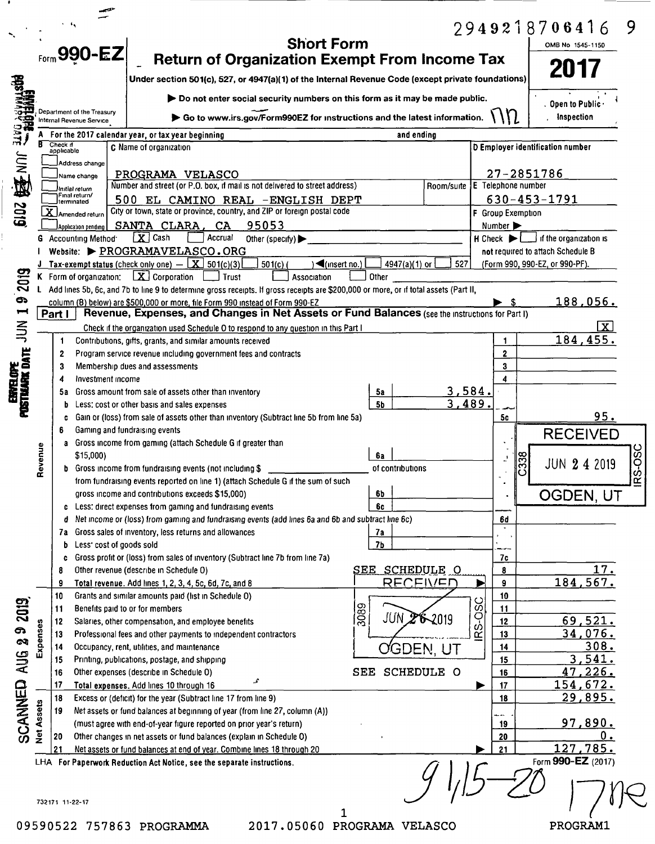| Do not enter social security numbers on this form as it may be made public.<br>Department of the Treasury<br>U<br>Go to www.irs.gov/Form990EZ for instructions and the latest information.<br>Internal Revenue Service<br>bare<br>For the 2017 calendar year, or tax year beginning<br>and ending<br>Check if<br>C Name of organization<br><b>D</b> Employer identification number<br>applicable<br>摩言<br>Address change<br>27-2851786<br>PROGRAMA VELASCO<br>Name change<br>Number and street (or P.O. box, if mail is not delivered to street address)<br>E Telephone number<br>Room/suite<br>Initial return<br>Final return/<br>$630 - 453 - 1791$<br>500 EL CAMINO REAL -ENGLISH DEPT<br>Iterminated<br>6102<br>City or town, state or province, country, and ZIP or foreign postal code<br>X Amended return<br>F Group Exemption<br>SANTA CLARA, CA<br>95053<br>Number ><br>Application pending<br>$\boxed{\mathbf{X}}$ Cash<br>Accrual<br>$H$ Check $\blacktriangleright$ $\Box$ if the organization is<br><b>G</b> Accounting Method <sup>-</sup><br>Other (specify) $\blacktriangleright$<br>Website: PROGRAMAVELASCO.ORG<br>not required to attach Schedule B<br><b>J</b> Tax-exempt status (check only one) $ \boxed{\mathbf{X}}$ 501(c)(3)<br>4947(a)(1) or<br>527<br>$501(c)$ (<br>$\blacktriangleleft$ (insert no.)<br>(Form 990, 990-EZ, or 990-PF).<br>2019<br>$\boxed{\mathbf{X}}$ Corporation<br>K Form of organization:<br>Other<br>Trust<br>Association<br>Add lines 5b, 6c, and 7b to line 9 to determine gross receipts. If gross receipts are \$200,000 or more, or if total assets (Part II,<br>ႜၜ<br>column (B) below) are \$500,000 or more, file Form 990 instead of Form 990-EZ<br>$\blacksquare$<br>Revenue, Expenses, and Changes in Net Assets or Fund Balances (see the instructions for Part I)<br>Part I<br>$rac{1}{2}$<br>Check if the organization used Schedule O to respond to any question in this Part I<br><u>184,455.</u><br>Contributions, gifts, grants, and similar amounts received<br>1<br>1<br>enfelofe<br>Postuare date -<br>$\overline{2}$<br>Program service revenue including government fees and contracts<br>2<br>3<br>Membership dues and assessments<br>3<br>Investment income<br>4<br><u>3,584.</u><br>Gross amount from sale of assets other than inventory<br>5а<br>5а<br>3,489.<br><b>5b</b><br>Less: cost or other basis and sales expenses<br>b<br>Gain or (loss) from sale of assets other than inventory (Subtract line 5b from line 5a)<br>5c<br>C<br>Gaming and fundraising events<br>6<br>Gross income from gaming (attach Schedule G if greater than<br>a<br>Revenue<br>\$15,000)<br>6а<br>338<br><b>b</b> Gross income from fundraising events (not including \$<br>of contributions<br>from fundraising events reported on line 1) (attach Schedule G if the sum of such<br>$\sim$ 1<br>gross income and contributions exceeds \$15,000)<br>OGDEN, UT<br>6b<br>6c<br>c Less: direct expenses from gaming and fundraising events<br>Net income or (loss) from gaming and fundraising events (add lines 6a and 6b and subtract line 6c)<br>d<br>6d<br>Gross sales of inventory, less returns and allowances<br>7а<br>7a<br>Less' cost of goods sold<br>7Ь<br>b<br>Gross profit or (loss) from sales of inventory (Subtract line 7b from line 7a)<br>7с<br>c<br><b>SEE SCHEDULE O</b><br>Other revenue (describe in Schedule O)<br>8<br>8<br>184,567.<br>RECEIVED<br>9<br>Total revenue. Add lines 1, 2, 3, 4, 5c, 6d, 7c, and 8<br>9<br>P<br>10<br>Grants and similar amounts paid (list in Schedule 0)<br>10<br>S-OSC<br>SCANNED AUG 29 2019<br>$\frac{1}{3089}$<br>$\blacksquare$<br>Benefits paid to or for members<br>11<br><b>JUN 28-2019</b><br>12<br>12<br>Salaries, other compensation, and employee benefits<br>Expenses<br>13<br>13<br>Professional fees and other payments to independent contractors<br>œ<br>14<br>Occupancy, rent, utilities, and maintenance<br>14<br>OGDEN, UT<br>15<br>15<br>Printing, publications, postage, and shipping<br><b>SCHEDULE O</b><br>$\mathtt{SEE}$<br>16<br>Other expenses (describe in Schedule O)<br>16<br>£<br>17<br>Total expenses. Add lines 10 through 16<br>17<br>18<br>Excess or (deficit) for the year (Subtract line 17 from line 9)<br>18<br><b>Net Assets</b><br>19<br>Net assets or fund balances at beginning of year (from line 27, column (A))<br>man.<br><u>97,890.</u><br>(must agree with end-of-year figure reported on prior year's return)<br>19<br>Other changes in net assets or fund balances (explain in Schedule O)<br>20<br>20<br>127,785.<br>21<br>21<br>Net assets or fund balances at end of year. Combine lines 18 through 20<br>Form 990-EZ (2017)<br>LHA For Paperwork Reduction Act Notice, see the separate instructions. | $F_{\text{form}}$ 990-EZ | <b>Return of Organization Exempt From Income Tax</b><br>Under section 501(c), 527, or 4947(a)(1) of the Internal Revenue Code (except private foundations) |  |  | 2017                                |              |
|---------------------------------------------------------------------------------------------------------------------------------------------------------------------------------------------------------------------------------------------------------------------------------------------------------------------------------------------------------------------------------------------------------------------------------------------------------------------------------------------------------------------------------------------------------------------------------------------------------------------------------------------------------------------------------------------------------------------------------------------------------------------------------------------------------------------------------------------------------------------------------------------------------------------------------------------------------------------------------------------------------------------------------------------------------------------------------------------------------------------------------------------------------------------------------------------------------------------------------------------------------------------------------------------------------------------------------------------------------------------------------------------------------------------------------------------------------------------------------------------------------------------------------------------------------------------------------------------------------------------------------------------------------------------------------------------------------------------------------------------------------------------------------------------------------------------------------------------------------------------------------------------------------------------------------------------------------------------------------------------------------------------------------------------------------------------------------------------------------------------------------------------------------------------------------------------------------------------------------------------------------------------------------------------------------------------------------------------------------------------------------------------------------------------------------------------------------------------------------------------------------------------------------------------------------------------------------------------------------------------------------------------------------------------------------------------------------------------------------------------------------------------------------------------------------------------------------------------------------------------------------------------------------------------------------------------------------------------------------------------------------------------------------------------------------------------------------------------------------------------------------------------------------------------------------------------------------------------------------------------------------------------------------------------------------------------------------------------------------------------------------------------------------------------------------------------------------------------------------------------------------------------------------------------------------------------------------------------------------------------------------------------------------------------------------------------------------------------------------------------------------------------------------------------------------------------------------------------------------------------------------------------------------------------------------------------------------------------------------------------------------------------------------------------------------------------------------------------------------------------------------------------------------------------------------------------------------------------------------------------------------------------------------------------------------------------------------------------------------------------------------------------------------------------------------------------------------------------------------------------------------------------------------------------------------------------------------------------------------------------------------------------------------------------------------------------------------------------------------------------------------------------------------|--------------------------|------------------------------------------------------------------------------------------------------------------------------------------------------------|--|--|-------------------------------------|--------------|
|                                                                                                                                                                                                                                                                                                                                                                                                                                                                                                                                                                                                                                                                                                                                                                                                                                                                                                                                                                                                                                                                                                                                                                                                                                                                                                                                                                                                                                                                                                                                                                                                                                                                                                                                                                                                                                                                                                                                                                                                                                                                                                                                                                                                                                                                                                                                                                                                                                                                                                                                                                                                                                                                                                                                                                                                                                                                                                                                                                                                                                                                                                                                                                                                                                                                                                                                                                                                                                                                                                                                                                                                                                                                                                                                                                                                                                                                                                                                                                                                                                                                                                                                                                                                                                                                                                                                                                                                                                                                                                                                                                                                                                                                                                                                                                                 |                          |                                                                                                                                                            |  |  |                                     |              |
|                                                                                                                                                                                                                                                                                                                                                                                                                                                                                                                                                                                                                                                                                                                                                                                                                                                                                                                                                                                                                                                                                                                                                                                                                                                                                                                                                                                                                                                                                                                                                                                                                                                                                                                                                                                                                                                                                                                                                                                                                                                                                                                                                                                                                                                                                                                                                                                                                                                                                                                                                                                                                                                                                                                                                                                                                                                                                                                                                                                                                                                                                                                                                                                                                                                                                                                                                                                                                                                                                                                                                                                                                                                                                                                                                                                                                                                                                                                                                                                                                                                                                                                                                                                                                                                                                                                                                                                                                                                                                                                                                                                                                                                                                                                                                                                 |                          |                                                                                                                                                            |  |  | <b>Open to Public</b><br>Inspection |              |
|                                                                                                                                                                                                                                                                                                                                                                                                                                                                                                                                                                                                                                                                                                                                                                                                                                                                                                                                                                                                                                                                                                                                                                                                                                                                                                                                                                                                                                                                                                                                                                                                                                                                                                                                                                                                                                                                                                                                                                                                                                                                                                                                                                                                                                                                                                                                                                                                                                                                                                                                                                                                                                                                                                                                                                                                                                                                                                                                                                                                                                                                                                                                                                                                                                                                                                                                                                                                                                                                                                                                                                                                                                                                                                                                                                                                                                                                                                                                                                                                                                                                                                                                                                                                                                                                                                                                                                                                                                                                                                                                                                                                                                                                                                                                                                                 |                          |                                                                                                                                                            |  |  |                                     |              |
|                                                                                                                                                                                                                                                                                                                                                                                                                                                                                                                                                                                                                                                                                                                                                                                                                                                                                                                                                                                                                                                                                                                                                                                                                                                                                                                                                                                                                                                                                                                                                                                                                                                                                                                                                                                                                                                                                                                                                                                                                                                                                                                                                                                                                                                                                                                                                                                                                                                                                                                                                                                                                                                                                                                                                                                                                                                                                                                                                                                                                                                                                                                                                                                                                                                                                                                                                                                                                                                                                                                                                                                                                                                                                                                                                                                                                                                                                                                                                                                                                                                                                                                                                                                                                                                                                                                                                                                                                                                                                                                                                                                                                                                                                                                                                                                 |                          |                                                                                                                                                            |  |  |                                     |              |
|                                                                                                                                                                                                                                                                                                                                                                                                                                                                                                                                                                                                                                                                                                                                                                                                                                                                                                                                                                                                                                                                                                                                                                                                                                                                                                                                                                                                                                                                                                                                                                                                                                                                                                                                                                                                                                                                                                                                                                                                                                                                                                                                                                                                                                                                                                                                                                                                                                                                                                                                                                                                                                                                                                                                                                                                                                                                                                                                                                                                                                                                                                                                                                                                                                                                                                                                                                                                                                                                                                                                                                                                                                                                                                                                                                                                                                                                                                                                                                                                                                                                                                                                                                                                                                                                                                                                                                                                                                                                                                                                                                                                                                                                                                                                                                                 |                          |                                                                                                                                                            |  |  |                                     |              |
|                                                                                                                                                                                                                                                                                                                                                                                                                                                                                                                                                                                                                                                                                                                                                                                                                                                                                                                                                                                                                                                                                                                                                                                                                                                                                                                                                                                                                                                                                                                                                                                                                                                                                                                                                                                                                                                                                                                                                                                                                                                                                                                                                                                                                                                                                                                                                                                                                                                                                                                                                                                                                                                                                                                                                                                                                                                                                                                                                                                                                                                                                                                                                                                                                                                                                                                                                                                                                                                                                                                                                                                                                                                                                                                                                                                                                                                                                                                                                                                                                                                                                                                                                                                                                                                                                                                                                                                                                                                                                                                                                                                                                                                                                                                                                                                 |                          |                                                                                                                                                            |  |  |                                     |              |
|                                                                                                                                                                                                                                                                                                                                                                                                                                                                                                                                                                                                                                                                                                                                                                                                                                                                                                                                                                                                                                                                                                                                                                                                                                                                                                                                                                                                                                                                                                                                                                                                                                                                                                                                                                                                                                                                                                                                                                                                                                                                                                                                                                                                                                                                                                                                                                                                                                                                                                                                                                                                                                                                                                                                                                                                                                                                                                                                                                                                                                                                                                                                                                                                                                                                                                                                                                                                                                                                                                                                                                                                                                                                                                                                                                                                                                                                                                                                                                                                                                                                                                                                                                                                                                                                                                                                                                                                                                                                                                                                                                                                                                                                                                                                                                                 |                          |                                                                                                                                                            |  |  |                                     |              |
|                                                                                                                                                                                                                                                                                                                                                                                                                                                                                                                                                                                                                                                                                                                                                                                                                                                                                                                                                                                                                                                                                                                                                                                                                                                                                                                                                                                                                                                                                                                                                                                                                                                                                                                                                                                                                                                                                                                                                                                                                                                                                                                                                                                                                                                                                                                                                                                                                                                                                                                                                                                                                                                                                                                                                                                                                                                                                                                                                                                                                                                                                                                                                                                                                                                                                                                                                                                                                                                                                                                                                                                                                                                                                                                                                                                                                                                                                                                                                                                                                                                                                                                                                                                                                                                                                                                                                                                                                                                                                                                                                                                                                                                                                                                                                                                 |                          |                                                                                                                                                            |  |  |                                     |              |
|                                                                                                                                                                                                                                                                                                                                                                                                                                                                                                                                                                                                                                                                                                                                                                                                                                                                                                                                                                                                                                                                                                                                                                                                                                                                                                                                                                                                                                                                                                                                                                                                                                                                                                                                                                                                                                                                                                                                                                                                                                                                                                                                                                                                                                                                                                                                                                                                                                                                                                                                                                                                                                                                                                                                                                                                                                                                                                                                                                                                                                                                                                                                                                                                                                                                                                                                                                                                                                                                                                                                                                                                                                                                                                                                                                                                                                                                                                                                                                                                                                                                                                                                                                                                                                                                                                                                                                                                                                                                                                                                                                                                                                                                                                                                                                                 |                          |                                                                                                                                                            |  |  |                                     |              |
|                                                                                                                                                                                                                                                                                                                                                                                                                                                                                                                                                                                                                                                                                                                                                                                                                                                                                                                                                                                                                                                                                                                                                                                                                                                                                                                                                                                                                                                                                                                                                                                                                                                                                                                                                                                                                                                                                                                                                                                                                                                                                                                                                                                                                                                                                                                                                                                                                                                                                                                                                                                                                                                                                                                                                                                                                                                                                                                                                                                                                                                                                                                                                                                                                                                                                                                                                                                                                                                                                                                                                                                                                                                                                                                                                                                                                                                                                                                                                                                                                                                                                                                                                                                                                                                                                                                                                                                                                                                                                                                                                                                                                                                                                                                                                                                 |                          |                                                                                                                                                            |  |  |                                     |              |
|                                                                                                                                                                                                                                                                                                                                                                                                                                                                                                                                                                                                                                                                                                                                                                                                                                                                                                                                                                                                                                                                                                                                                                                                                                                                                                                                                                                                                                                                                                                                                                                                                                                                                                                                                                                                                                                                                                                                                                                                                                                                                                                                                                                                                                                                                                                                                                                                                                                                                                                                                                                                                                                                                                                                                                                                                                                                                                                                                                                                                                                                                                                                                                                                                                                                                                                                                                                                                                                                                                                                                                                                                                                                                                                                                                                                                                                                                                                                                                                                                                                                                                                                                                                                                                                                                                                                                                                                                                                                                                                                                                                                                                                                                                                                                                                 |                          |                                                                                                                                                            |  |  |                                     |              |
|                                                                                                                                                                                                                                                                                                                                                                                                                                                                                                                                                                                                                                                                                                                                                                                                                                                                                                                                                                                                                                                                                                                                                                                                                                                                                                                                                                                                                                                                                                                                                                                                                                                                                                                                                                                                                                                                                                                                                                                                                                                                                                                                                                                                                                                                                                                                                                                                                                                                                                                                                                                                                                                                                                                                                                                                                                                                                                                                                                                                                                                                                                                                                                                                                                                                                                                                                                                                                                                                                                                                                                                                                                                                                                                                                                                                                                                                                                                                                                                                                                                                                                                                                                                                                                                                                                                                                                                                                                                                                                                                                                                                                                                                                                                                                                                 |                          |                                                                                                                                                            |  |  |                                     |              |
|                                                                                                                                                                                                                                                                                                                                                                                                                                                                                                                                                                                                                                                                                                                                                                                                                                                                                                                                                                                                                                                                                                                                                                                                                                                                                                                                                                                                                                                                                                                                                                                                                                                                                                                                                                                                                                                                                                                                                                                                                                                                                                                                                                                                                                                                                                                                                                                                                                                                                                                                                                                                                                                                                                                                                                                                                                                                                                                                                                                                                                                                                                                                                                                                                                                                                                                                                                                                                                                                                                                                                                                                                                                                                                                                                                                                                                                                                                                                                                                                                                                                                                                                                                                                                                                                                                                                                                                                                                                                                                                                                                                                                                                                                                                                                                                 |                          |                                                                                                                                                            |  |  |                                     |              |
|                                                                                                                                                                                                                                                                                                                                                                                                                                                                                                                                                                                                                                                                                                                                                                                                                                                                                                                                                                                                                                                                                                                                                                                                                                                                                                                                                                                                                                                                                                                                                                                                                                                                                                                                                                                                                                                                                                                                                                                                                                                                                                                                                                                                                                                                                                                                                                                                                                                                                                                                                                                                                                                                                                                                                                                                                                                                                                                                                                                                                                                                                                                                                                                                                                                                                                                                                                                                                                                                                                                                                                                                                                                                                                                                                                                                                                                                                                                                                                                                                                                                                                                                                                                                                                                                                                                                                                                                                                                                                                                                                                                                                                                                                                                                                                                 |                          |                                                                                                                                                            |  |  | <u>188,056.</u>                     |              |
|                                                                                                                                                                                                                                                                                                                                                                                                                                                                                                                                                                                                                                                                                                                                                                                                                                                                                                                                                                                                                                                                                                                                                                                                                                                                                                                                                                                                                                                                                                                                                                                                                                                                                                                                                                                                                                                                                                                                                                                                                                                                                                                                                                                                                                                                                                                                                                                                                                                                                                                                                                                                                                                                                                                                                                                                                                                                                                                                                                                                                                                                                                                                                                                                                                                                                                                                                                                                                                                                                                                                                                                                                                                                                                                                                                                                                                                                                                                                                                                                                                                                                                                                                                                                                                                                                                                                                                                                                                                                                                                                                                                                                                                                                                                                                                                 |                          |                                                                                                                                                            |  |  |                                     | $\mathbf{x}$ |
|                                                                                                                                                                                                                                                                                                                                                                                                                                                                                                                                                                                                                                                                                                                                                                                                                                                                                                                                                                                                                                                                                                                                                                                                                                                                                                                                                                                                                                                                                                                                                                                                                                                                                                                                                                                                                                                                                                                                                                                                                                                                                                                                                                                                                                                                                                                                                                                                                                                                                                                                                                                                                                                                                                                                                                                                                                                                                                                                                                                                                                                                                                                                                                                                                                                                                                                                                                                                                                                                                                                                                                                                                                                                                                                                                                                                                                                                                                                                                                                                                                                                                                                                                                                                                                                                                                                                                                                                                                                                                                                                                                                                                                                                                                                                                                                 |                          |                                                                                                                                                            |  |  |                                     |              |
|                                                                                                                                                                                                                                                                                                                                                                                                                                                                                                                                                                                                                                                                                                                                                                                                                                                                                                                                                                                                                                                                                                                                                                                                                                                                                                                                                                                                                                                                                                                                                                                                                                                                                                                                                                                                                                                                                                                                                                                                                                                                                                                                                                                                                                                                                                                                                                                                                                                                                                                                                                                                                                                                                                                                                                                                                                                                                                                                                                                                                                                                                                                                                                                                                                                                                                                                                                                                                                                                                                                                                                                                                                                                                                                                                                                                                                                                                                                                                                                                                                                                                                                                                                                                                                                                                                                                                                                                                                                                                                                                                                                                                                                                                                                                                                                 |                          |                                                                                                                                                            |  |  |                                     |              |
|                                                                                                                                                                                                                                                                                                                                                                                                                                                                                                                                                                                                                                                                                                                                                                                                                                                                                                                                                                                                                                                                                                                                                                                                                                                                                                                                                                                                                                                                                                                                                                                                                                                                                                                                                                                                                                                                                                                                                                                                                                                                                                                                                                                                                                                                                                                                                                                                                                                                                                                                                                                                                                                                                                                                                                                                                                                                                                                                                                                                                                                                                                                                                                                                                                                                                                                                                                                                                                                                                                                                                                                                                                                                                                                                                                                                                                                                                                                                                                                                                                                                                                                                                                                                                                                                                                                                                                                                                                                                                                                                                                                                                                                                                                                                                                                 |                          |                                                                                                                                                            |  |  |                                     |              |
|                                                                                                                                                                                                                                                                                                                                                                                                                                                                                                                                                                                                                                                                                                                                                                                                                                                                                                                                                                                                                                                                                                                                                                                                                                                                                                                                                                                                                                                                                                                                                                                                                                                                                                                                                                                                                                                                                                                                                                                                                                                                                                                                                                                                                                                                                                                                                                                                                                                                                                                                                                                                                                                                                                                                                                                                                                                                                                                                                                                                                                                                                                                                                                                                                                                                                                                                                                                                                                                                                                                                                                                                                                                                                                                                                                                                                                                                                                                                                                                                                                                                                                                                                                                                                                                                                                                                                                                                                                                                                                                                                                                                                                                                                                                                                                                 |                          |                                                                                                                                                            |  |  |                                     |              |
|                                                                                                                                                                                                                                                                                                                                                                                                                                                                                                                                                                                                                                                                                                                                                                                                                                                                                                                                                                                                                                                                                                                                                                                                                                                                                                                                                                                                                                                                                                                                                                                                                                                                                                                                                                                                                                                                                                                                                                                                                                                                                                                                                                                                                                                                                                                                                                                                                                                                                                                                                                                                                                                                                                                                                                                                                                                                                                                                                                                                                                                                                                                                                                                                                                                                                                                                                                                                                                                                                                                                                                                                                                                                                                                                                                                                                                                                                                                                                                                                                                                                                                                                                                                                                                                                                                                                                                                                                                                                                                                                                                                                                                                                                                                                                                                 |                          |                                                                                                                                                            |  |  |                                     |              |
|                                                                                                                                                                                                                                                                                                                                                                                                                                                                                                                                                                                                                                                                                                                                                                                                                                                                                                                                                                                                                                                                                                                                                                                                                                                                                                                                                                                                                                                                                                                                                                                                                                                                                                                                                                                                                                                                                                                                                                                                                                                                                                                                                                                                                                                                                                                                                                                                                                                                                                                                                                                                                                                                                                                                                                                                                                                                                                                                                                                                                                                                                                                                                                                                                                                                                                                                                                                                                                                                                                                                                                                                                                                                                                                                                                                                                                                                                                                                                                                                                                                                                                                                                                                                                                                                                                                                                                                                                                                                                                                                                                                                                                                                                                                                                                                 |                          |                                                                                                                                                            |  |  |                                     |              |
|                                                                                                                                                                                                                                                                                                                                                                                                                                                                                                                                                                                                                                                                                                                                                                                                                                                                                                                                                                                                                                                                                                                                                                                                                                                                                                                                                                                                                                                                                                                                                                                                                                                                                                                                                                                                                                                                                                                                                                                                                                                                                                                                                                                                                                                                                                                                                                                                                                                                                                                                                                                                                                                                                                                                                                                                                                                                                                                                                                                                                                                                                                                                                                                                                                                                                                                                                                                                                                                                                                                                                                                                                                                                                                                                                                                                                                                                                                                                                                                                                                                                                                                                                                                                                                                                                                                                                                                                                                                                                                                                                                                                                                                                                                                                                                                 |                          |                                                                                                                                                            |  |  |                                     | 95.          |
|                                                                                                                                                                                                                                                                                                                                                                                                                                                                                                                                                                                                                                                                                                                                                                                                                                                                                                                                                                                                                                                                                                                                                                                                                                                                                                                                                                                                                                                                                                                                                                                                                                                                                                                                                                                                                                                                                                                                                                                                                                                                                                                                                                                                                                                                                                                                                                                                                                                                                                                                                                                                                                                                                                                                                                                                                                                                                                                                                                                                                                                                                                                                                                                                                                                                                                                                                                                                                                                                                                                                                                                                                                                                                                                                                                                                                                                                                                                                                                                                                                                                                                                                                                                                                                                                                                                                                                                                                                                                                                                                                                                                                                                                                                                                                                                 |                          |                                                                                                                                                            |  |  | <b>RECEIVED</b>                     |              |
|                                                                                                                                                                                                                                                                                                                                                                                                                                                                                                                                                                                                                                                                                                                                                                                                                                                                                                                                                                                                                                                                                                                                                                                                                                                                                                                                                                                                                                                                                                                                                                                                                                                                                                                                                                                                                                                                                                                                                                                                                                                                                                                                                                                                                                                                                                                                                                                                                                                                                                                                                                                                                                                                                                                                                                                                                                                                                                                                                                                                                                                                                                                                                                                                                                                                                                                                                                                                                                                                                                                                                                                                                                                                                                                                                                                                                                                                                                                                                                                                                                                                                                                                                                                                                                                                                                                                                                                                                                                                                                                                                                                                                                                                                                                                                                                 |                          |                                                                                                                                                            |  |  |                                     |              |
|                                                                                                                                                                                                                                                                                                                                                                                                                                                                                                                                                                                                                                                                                                                                                                                                                                                                                                                                                                                                                                                                                                                                                                                                                                                                                                                                                                                                                                                                                                                                                                                                                                                                                                                                                                                                                                                                                                                                                                                                                                                                                                                                                                                                                                                                                                                                                                                                                                                                                                                                                                                                                                                                                                                                                                                                                                                                                                                                                                                                                                                                                                                                                                                                                                                                                                                                                                                                                                                                                                                                                                                                                                                                                                                                                                                                                                                                                                                                                                                                                                                                                                                                                                                                                                                                                                                                                                                                                                                                                                                                                                                                                                                                                                                                                                                 |                          |                                                                                                                                                            |  |  | JUN 2 4 2019                        |              |
|                                                                                                                                                                                                                                                                                                                                                                                                                                                                                                                                                                                                                                                                                                                                                                                                                                                                                                                                                                                                                                                                                                                                                                                                                                                                                                                                                                                                                                                                                                                                                                                                                                                                                                                                                                                                                                                                                                                                                                                                                                                                                                                                                                                                                                                                                                                                                                                                                                                                                                                                                                                                                                                                                                                                                                                                                                                                                                                                                                                                                                                                                                                                                                                                                                                                                                                                                                                                                                                                                                                                                                                                                                                                                                                                                                                                                                                                                                                                                                                                                                                                                                                                                                                                                                                                                                                                                                                                                                                                                                                                                                                                                                                                                                                                                                                 |                          |                                                                                                                                                            |  |  |                                     |              |
|                                                                                                                                                                                                                                                                                                                                                                                                                                                                                                                                                                                                                                                                                                                                                                                                                                                                                                                                                                                                                                                                                                                                                                                                                                                                                                                                                                                                                                                                                                                                                                                                                                                                                                                                                                                                                                                                                                                                                                                                                                                                                                                                                                                                                                                                                                                                                                                                                                                                                                                                                                                                                                                                                                                                                                                                                                                                                                                                                                                                                                                                                                                                                                                                                                                                                                                                                                                                                                                                                                                                                                                                                                                                                                                                                                                                                                                                                                                                                                                                                                                                                                                                                                                                                                                                                                                                                                                                                                                                                                                                                                                                                                                                                                                                                                                 |                          |                                                                                                                                                            |  |  |                                     |              |
|                                                                                                                                                                                                                                                                                                                                                                                                                                                                                                                                                                                                                                                                                                                                                                                                                                                                                                                                                                                                                                                                                                                                                                                                                                                                                                                                                                                                                                                                                                                                                                                                                                                                                                                                                                                                                                                                                                                                                                                                                                                                                                                                                                                                                                                                                                                                                                                                                                                                                                                                                                                                                                                                                                                                                                                                                                                                                                                                                                                                                                                                                                                                                                                                                                                                                                                                                                                                                                                                                                                                                                                                                                                                                                                                                                                                                                                                                                                                                                                                                                                                                                                                                                                                                                                                                                                                                                                                                                                                                                                                                                                                                                                                                                                                                                                 |                          |                                                                                                                                                            |  |  |                                     |              |
|                                                                                                                                                                                                                                                                                                                                                                                                                                                                                                                                                                                                                                                                                                                                                                                                                                                                                                                                                                                                                                                                                                                                                                                                                                                                                                                                                                                                                                                                                                                                                                                                                                                                                                                                                                                                                                                                                                                                                                                                                                                                                                                                                                                                                                                                                                                                                                                                                                                                                                                                                                                                                                                                                                                                                                                                                                                                                                                                                                                                                                                                                                                                                                                                                                                                                                                                                                                                                                                                                                                                                                                                                                                                                                                                                                                                                                                                                                                                                                                                                                                                                                                                                                                                                                                                                                                                                                                                                                                                                                                                                                                                                                                                                                                                                                                 |                          |                                                                                                                                                            |  |  |                                     |              |
|                                                                                                                                                                                                                                                                                                                                                                                                                                                                                                                                                                                                                                                                                                                                                                                                                                                                                                                                                                                                                                                                                                                                                                                                                                                                                                                                                                                                                                                                                                                                                                                                                                                                                                                                                                                                                                                                                                                                                                                                                                                                                                                                                                                                                                                                                                                                                                                                                                                                                                                                                                                                                                                                                                                                                                                                                                                                                                                                                                                                                                                                                                                                                                                                                                                                                                                                                                                                                                                                                                                                                                                                                                                                                                                                                                                                                                                                                                                                                                                                                                                                                                                                                                                                                                                                                                                                                                                                                                                                                                                                                                                                                                                                                                                                                                                 |                          |                                                                                                                                                            |  |  |                                     |              |
|                                                                                                                                                                                                                                                                                                                                                                                                                                                                                                                                                                                                                                                                                                                                                                                                                                                                                                                                                                                                                                                                                                                                                                                                                                                                                                                                                                                                                                                                                                                                                                                                                                                                                                                                                                                                                                                                                                                                                                                                                                                                                                                                                                                                                                                                                                                                                                                                                                                                                                                                                                                                                                                                                                                                                                                                                                                                                                                                                                                                                                                                                                                                                                                                                                                                                                                                                                                                                                                                                                                                                                                                                                                                                                                                                                                                                                                                                                                                                                                                                                                                                                                                                                                                                                                                                                                                                                                                                                                                                                                                                                                                                                                                                                                                                                                 |                          |                                                                                                                                                            |  |  |                                     |              |
|                                                                                                                                                                                                                                                                                                                                                                                                                                                                                                                                                                                                                                                                                                                                                                                                                                                                                                                                                                                                                                                                                                                                                                                                                                                                                                                                                                                                                                                                                                                                                                                                                                                                                                                                                                                                                                                                                                                                                                                                                                                                                                                                                                                                                                                                                                                                                                                                                                                                                                                                                                                                                                                                                                                                                                                                                                                                                                                                                                                                                                                                                                                                                                                                                                                                                                                                                                                                                                                                                                                                                                                                                                                                                                                                                                                                                                                                                                                                                                                                                                                                                                                                                                                                                                                                                                                                                                                                                                                                                                                                                                                                                                                                                                                                                                                 |                          |                                                                                                                                                            |  |  |                                     | 17.          |
|                                                                                                                                                                                                                                                                                                                                                                                                                                                                                                                                                                                                                                                                                                                                                                                                                                                                                                                                                                                                                                                                                                                                                                                                                                                                                                                                                                                                                                                                                                                                                                                                                                                                                                                                                                                                                                                                                                                                                                                                                                                                                                                                                                                                                                                                                                                                                                                                                                                                                                                                                                                                                                                                                                                                                                                                                                                                                                                                                                                                                                                                                                                                                                                                                                                                                                                                                                                                                                                                                                                                                                                                                                                                                                                                                                                                                                                                                                                                                                                                                                                                                                                                                                                                                                                                                                                                                                                                                                                                                                                                                                                                                                                                                                                                                                                 |                          |                                                                                                                                                            |  |  |                                     |              |
|                                                                                                                                                                                                                                                                                                                                                                                                                                                                                                                                                                                                                                                                                                                                                                                                                                                                                                                                                                                                                                                                                                                                                                                                                                                                                                                                                                                                                                                                                                                                                                                                                                                                                                                                                                                                                                                                                                                                                                                                                                                                                                                                                                                                                                                                                                                                                                                                                                                                                                                                                                                                                                                                                                                                                                                                                                                                                                                                                                                                                                                                                                                                                                                                                                                                                                                                                                                                                                                                                                                                                                                                                                                                                                                                                                                                                                                                                                                                                                                                                                                                                                                                                                                                                                                                                                                                                                                                                                                                                                                                                                                                                                                                                                                                                                                 |                          |                                                                                                                                                            |  |  |                                     |              |
|                                                                                                                                                                                                                                                                                                                                                                                                                                                                                                                                                                                                                                                                                                                                                                                                                                                                                                                                                                                                                                                                                                                                                                                                                                                                                                                                                                                                                                                                                                                                                                                                                                                                                                                                                                                                                                                                                                                                                                                                                                                                                                                                                                                                                                                                                                                                                                                                                                                                                                                                                                                                                                                                                                                                                                                                                                                                                                                                                                                                                                                                                                                                                                                                                                                                                                                                                                                                                                                                                                                                                                                                                                                                                                                                                                                                                                                                                                                                                                                                                                                                                                                                                                                                                                                                                                                                                                                                                                                                                                                                                                                                                                                                                                                                                                                 |                          |                                                                                                                                                            |  |  |                                     |              |
|                                                                                                                                                                                                                                                                                                                                                                                                                                                                                                                                                                                                                                                                                                                                                                                                                                                                                                                                                                                                                                                                                                                                                                                                                                                                                                                                                                                                                                                                                                                                                                                                                                                                                                                                                                                                                                                                                                                                                                                                                                                                                                                                                                                                                                                                                                                                                                                                                                                                                                                                                                                                                                                                                                                                                                                                                                                                                                                                                                                                                                                                                                                                                                                                                                                                                                                                                                                                                                                                                                                                                                                                                                                                                                                                                                                                                                                                                                                                                                                                                                                                                                                                                                                                                                                                                                                                                                                                                                                                                                                                                                                                                                                                                                                                                                                 |                          |                                                                                                                                                            |  |  | 69,521.                             |              |
|                                                                                                                                                                                                                                                                                                                                                                                                                                                                                                                                                                                                                                                                                                                                                                                                                                                                                                                                                                                                                                                                                                                                                                                                                                                                                                                                                                                                                                                                                                                                                                                                                                                                                                                                                                                                                                                                                                                                                                                                                                                                                                                                                                                                                                                                                                                                                                                                                                                                                                                                                                                                                                                                                                                                                                                                                                                                                                                                                                                                                                                                                                                                                                                                                                                                                                                                                                                                                                                                                                                                                                                                                                                                                                                                                                                                                                                                                                                                                                                                                                                                                                                                                                                                                                                                                                                                                                                                                                                                                                                                                                                                                                                                                                                                                                                 |                          |                                                                                                                                                            |  |  | 34,076.                             |              |
|                                                                                                                                                                                                                                                                                                                                                                                                                                                                                                                                                                                                                                                                                                                                                                                                                                                                                                                                                                                                                                                                                                                                                                                                                                                                                                                                                                                                                                                                                                                                                                                                                                                                                                                                                                                                                                                                                                                                                                                                                                                                                                                                                                                                                                                                                                                                                                                                                                                                                                                                                                                                                                                                                                                                                                                                                                                                                                                                                                                                                                                                                                                                                                                                                                                                                                                                                                                                                                                                                                                                                                                                                                                                                                                                                                                                                                                                                                                                                                                                                                                                                                                                                                                                                                                                                                                                                                                                                                                                                                                                                                                                                                                                                                                                                                                 |                          |                                                                                                                                                            |  |  | <u>308.</u>                         |              |
|                                                                                                                                                                                                                                                                                                                                                                                                                                                                                                                                                                                                                                                                                                                                                                                                                                                                                                                                                                                                                                                                                                                                                                                                                                                                                                                                                                                                                                                                                                                                                                                                                                                                                                                                                                                                                                                                                                                                                                                                                                                                                                                                                                                                                                                                                                                                                                                                                                                                                                                                                                                                                                                                                                                                                                                                                                                                                                                                                                                                                                                                                                                                                                                                                                                                                                                                                                                                                                                                                                                                                                                                                                                                                                                                                                                                                                                                                                                                                                                                                                                                                                                                                                                                                                                                                                                                                                                                                                                                                                                                                                                                                                                                                                                                                                                 |                          |                                                                                                                                                            |  |  | 3,541.                              |              |
|                                                                                                                                                                                                                                                                                                                                                                                                                                                                                                                                                                                                                                                                                                                                                                                                                                                                                                                                                                                                                                                                                                                                                                                                                                                                                                                                                                                                                                                                                                                                                                                                                                                                                                                                                                                                                                                                                                                                                                                                                                                                                                                                                                                                                                                                                                                                                                                                                                                                                                                                                                                                                                                                                                                                                                                                                                                                                                                                                                                                                                                                                                                                                                                                                                                                                                                                                                                                                                                                                                                                                                                                                                                                                                                                                                                                                                                                                                                                                                                                                                                                                                                                                                                                                                                                                                                                                                                                                                                                                                                                                                                                                                                                                                                                                                                 |                          |                                                                                                                                                            |  |  | <u>47,226.</u>                      |              |
|                                                                                                                                                                                                                                                                                                                                                                                                                                                                                                                                                                                                                                                                                                                                                                                                                                                                                                                                                                                                                                                                                                                                                                                                                                                                                                                                                                                                                                                                                                                                                                                                                                                                                                                                                                                                                                                                                                                                                                                                                                                                                                                                                                                                                                                                                                                                                                                                                                                                                                                                                                                                                                                                                                                                                                                                                                                                                                                                                                                                                                                                                                                                                                                                                                                                                                                                                                                                                                                                                                                                                                                                                                                                                                                                                                                                                                                                                                                                                                                                                                                                                                                                                                                                                                                                                                                                                                                                                                                                                                                                                                                                                                                                                                                                                                                 |                          |                                                                                                                                                            |  |  | <u>154,672.</u>                     |              |
|                                                                                                                                                                                                                                                                                                                                                                                                                                                                                                                                                                                                                                                                                                                                                                                                                                                                                                                                                                                                                                                                                                                                                                                                                                                                                                                                                                                                                                                                                                                                                                                                                                                                                                                                                                                                                                                                                                                                                                                                                                                                                                                                                                                                                                                                                                                                                                                                                                                                                                                                                                                                                                                                                                                                                                                                                                                                                                                                                                                                                                                                                                                                                                                                                                                                                                                                                                                                                                                                                                                                                                                                                                                                                                                                                                                                                                                                                                                                                                                                                                                                                                                                                                                                                                                                                                                                                                                                                                                                                                                                                                                                                                                                                                                                                                                 |                          |                                                                                                                                                            |  |  | 29,895.                             |              |
|                                                                                                                                                                                                                                                                                                                                                                                                                                                                                                                                                                                                                                                                                                                                                                                                                                                                                                                                                                                                                                                                                                                                                                                                                                                                                                                                                                                                                                                                                                                                                                                                                                                                                                                                                                                                                                                                                                                                                                                                                                                                                                                                                                                                                                                                                                                                                                                                                                                                                                                                                                                                                                                                                                                                                                                                                                                                                                                                                                                                                                                                                                                                                                                                                                                                                                                                                                                                                                                                                                                                                                                                                                                                                                                                                                                                                                                                                                                                                                                                                                                                                                                                                                                                                                                                                                                                                                                                                                                                                                                                                                                                                                                                                                                                                                                 |                          |                                                                                                                                                            |  |  |                                     |              |
|                                                                                                                                                                                                                                                                                                                                                                                                                                                                                                                                                                                                                                                                                                                                                                                                                                                                                                                                                                                                                                                                                                                                                                                                                                                                                                                                                                                                                                                                                                                                                                                                                                                                                                                                                                                                                                                                                                                                                                                                                                                                                                                                                                                                                                                                                                                                                                                                                                                                                                                                                                                                                                                                                                                                                                                                                                                                                                                                                                                                                                                                                                                                                                                                                                                                                                                                                                                                                                                                                                                                                                                                                                                                                                                                                                                                                                                                                                                                                                                                                                                                                                                                                                                                                                                                                                                                                                                                                                                                                                                                                                                                                                                                                                                                                                                 |                          |                                                                                                                                                            |  |  |                                     |              |
|                                                                                                                                                                                                                                                                                                                                                                                                                                                                                                                                                                                                                                                                                                                                                                                                                                                                                                                                                                                                                                                                                                                                                                                                                                                                                                                                                                                                                                                                                                                                                                                                                                                                                                                                                                                                                                                                                                                                                                                                                                                                                                                                                                                                                                                                                                                                                                                                                                                                                                                                                                                                                                                                                                                                                                                                                                                                                                                                                                                                                                                                                                                                                                                                                                                                                                                                                                                                                                                                                                                                                                                                                                                                                                                                                                                                                                                                                                                                                                                                                                                                                                                                                                                                                                                                                                                                                                                                                                                                                                                                                                                                                                                                                                                                                                                 |                          |                                                                                                                                                            |  |  |                                     | ο.           |
|                                                                                                                                                                                                                                                                                                                                                                                                                                                                                                                                                                                                                                                                                                                                                                                                                                                                                                                                                                                                                                                                                                                                                                                                                                                                                                                                                                                                                                                                                                                                                                                                                                                                                                                                                                                                                                                                                                                                                                                                                                                                                                                                                                                                                                                                                                                                                                                                                                                                                                                                                                                                                                                                                                                                                                                                                                                                                                                                                                                                                                                                                                                                                                                                                                                                                                                                                                                                                                                                                                                                                                                                                                                                                                                                                                                                                                                                                                                                                                                                                                                                                                                                                                                                                                                                                                                                                                                                                                                                                                                                                                                                                                                                                                                                                                                 |                          |                                                                                                                                                            |  |  |                                     |              |
|                                                                                                                                                                                                                                                                                                                                                                                                                                                                                                                                                                                                                                                                                                                                                                                                                                                                                                                                                                                                                                                                                                                                                                                                                                                                                                                                                                                                                                                                                                                                                                                                                                                                                                                                                                                                                                                                                                                                                                                                                                                                                                                                                                                                                                                                                                                                                                                                                                                                                                                                                                                                                                                                                                                                                                                                                                                                                                                                                                                                                                                                                                                                                                                                                                                                                                                                                                                                                                                                                                                                                                                                                                                                                                                                                                                                                                                                                                                                                                                                                                                                                                                                                                                                                                                                                                                                                                                                                                                                                                                                                                                                                                                                                                                                                                                 |                          |                                                                                                                                                            |  |  |                                     |              |
|                                                                                                                                                                                                                                                                                                                                                                                                                                                                                                                                                                                                                                                                                                                                                                                                                                                                                                                                                                                                                                                                                                                                                                                                                                                                                                                                                                                                                                                                                                                                                                                                                                                                                                                                                                                                                                                                                                                                                                                                                                                                                                                                                                                                                                                                                                                                                                                                                                                                                                                                                                                                                                                                                                                                                                                                                                                                                                                                                                                                                                                                                                                                                                                                                                                                                                                                                                                                                                                                                                                                                                                                                                                                                                                                                                                                                                                                                                                                                                                                                                                                                                                                                                                                                                                                                                                                                                                                                                                                                                                                                                                                                                                                                                                                                                                 |                          |                                                                                                                                                            |  |  |                                     |              |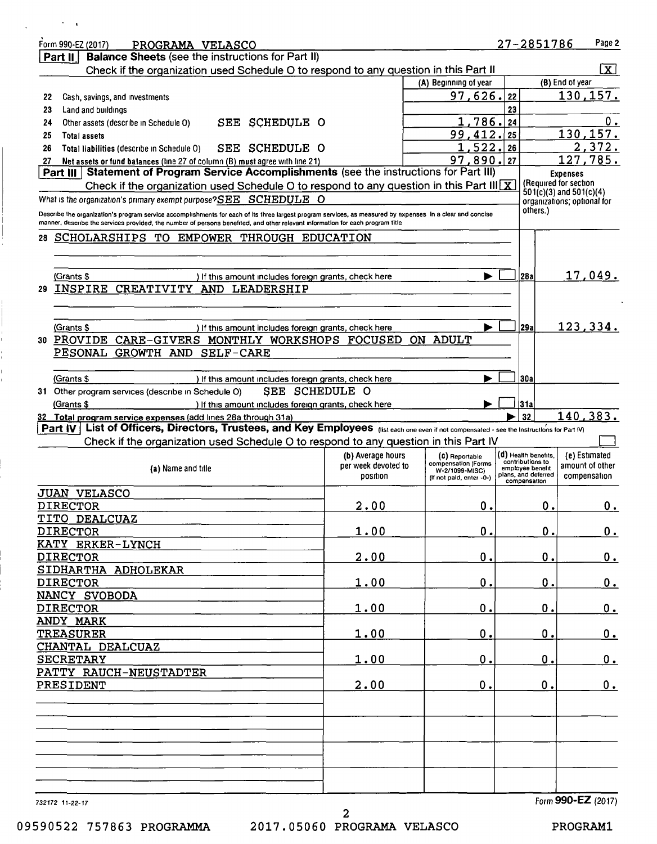| Form 990-EZ (2017)<br>PROGRAMA VELASCO                                                                                                                     |                     |                                       | 27-2851786                           | Page 2                                                     |
|------------------------------------------------------------------------------------------------------------------------------------------------------------|---------------------|---------------------------------------|--------------------------------------|------------------------------------------------------------|
| <b>Balance Sheets (see the instructions for Part II)</b><br>Part $  $                                                                                      |                     |                                       |                                      |                                                            |
| Check if the organization used Schedule O to respond to any question in this Part II                                                                       |                     |                                       |                                      | $\boxtimes$                                                |
|                                                                                                                                                            |                     | (A) Beginning of year                 |                                      | (B) End of year                                            |
| Cash, savings, and investments<br>22                                                                                                                       |                     | 97,626.                               | 22                                   | 130,157.                                                   |
| Land and buildings<br>23                                                                                                                                   |                     |                                       | 23                                   | 0.                                                         |
| SCHEDULE O<br>Other assets (describe in Schedule O)<br>SEE<br>24                                                                                           |                     | 1,786.<br>99,412.                     | 24<br>25                             | 130, 157.                                                  |
| 25<br><b>Total assets</b><br>SEE SCHEDULE O<br>26<br>Total liabilities (describe in Schedule 0)                                                            |                     | 1,522.                                | 26                                   | 2,372.                                                     |
| Net assets or fund balances (line 27 of column (B) must agree with line 21)<br>27                                                                          |                     | 97,890.                               | 27                                   | 127,785.                                                   |
| Statement of Program Service Accomplishments (see the instructions for Part III)<br>Part III                                                               |                     |                                       |                                      | <b>Expenses</b>                                            |
| Check if the organization used Schedule O to respond to any question in this Part III $\overline{X}$                                                       |                     |                                       |                                      | (Required for section                                      |
| What is the organization's primary exempt purpose?SEE SCHEDULE O                                                                                           |                     |                                       |                                      | $501(c)(3)$ and $501(c)(4)$<br>organizations; optional for |
| Describe the organization's program service accomplishments for each of its three largest program services, as measured by expenses In a clear and concise |                     |                                       | others.)                             |                                                            |
| manner, describe the services provided, the number of persons benefited, and other relevant information for each program title                             |                     |                                       |                                      |                                                            |
| SCHOLARSHIPS TO EMPOWER THROUGH EDUCATION<br>28.                                                                                                           |                     |                                       |                                      |                                                            |
|                                                                                                                                                            |                     |                                       |                                      |                                                            |
|                                                                                                                                                            |                     |                                       |                                      |                                                            |
| (Grants \$<br>If this amount includes foreign grants, check here                                                                                           |                     |                                       | 28a                                  | 17,049.                                                    |
| INSPIRE<br>CREATIVITY AND LEADERSHIP<br>29                                                                                                                 |                     |                                       |                                      |                                                            |
|                                                                                                                                                            |                     |                                       |                                      |                                                            |
|                                                                                                                                                            |                     |                                       |                                      |                                                            |
| (Grants \$<br>) If this amount includes foreign grants, check here                                                                                         |                     |                                       | 29a                                  | 123,334.                                                   |
| PROVIDE CARE-GIVERS MONTHLY WORKSHOPS FOCUSED<br>30                                                                                                        |                     | ON ADULT                              |                                      |                                                            |
| PESONAL GROWTH AND SELF-CARE                                                                                                                               |                     |                                       |                                      |                                                            |
| (Grants \$                                                                                                                                                 |                     |                                       | <b>30a</b>                           |                                                            |
| If this amount includes foreign grants, check here<br>SEE SCHEDULE O<br>Other program services (describe in Schedule O)<br>31                              |                     |                                       |                                      |                                                            |
| (Grants \$<br>) If this amount includes foreign grants, check here                                                                                         |                     |                                       | 31 a                                 |                                                            |
| 32 Total program service expenses (add lines 28a through 31a)                                                                                              |                     |                                       | 32                                   | 140,383.                                                   |
|                                                                                                                                                            |                     |                                       |                                      |                                                            |
| Part IV List of Officers, Directors, Trustees, and Key Employees (Ilst each one even if not compensated - see the Instructions for Part M)                 |                     |                                       |                                      |                                                            |
| Check if the organization used Schedule O to respond to any question in this Part IV                                                                       |                     |                                       |                                      |                                                            |
|                                                                                                                                                            | (b) Average hours   | (C) Reportable                        | (d) Health benefits,                 | (e) Estimated                                              |
| (a) Name and title                                                                                                                                         | per week devoted to | compensation (Forms<br>W-2/1099-MISC) | contributions to<br>employee benefit | amount of other                                            |
|                                                                                                                                                            | position            | (If not paid, enter -0-)              | plans, and deferred<br>compensation  | compensation                                               |
| <b>JUAN VELASCO</b>                                                                                                                                        |                     |                                       |                                      |                                                            |
| <b>DIRECTOR</b>                                                                                                                                            | 2.00                | О.                                    | 0.                                   | $0_{\cdot}$                                                |
| TITO DEALCUAZ                                                                                                                                              |                     |                                       |                                      |                                                            |
| <b>DIRECTOR</b>                                                                                                                                            | 1.00                | О.                                    | 0.                                   | 0.                                                         |
| KATY ERKER-LYNCH                                                                                                                                           |                     |                                       |                                      |                                                            |
| <b>DIRECTOR</b>                                                                                                                                            | 2.00                | 0.                                    | $\mathbf 0$ .                        | 0.                                                         |
| SIDHARTHA ADHOLEKAR                                                                                                                                        |                     |                                       |                                      |                                                            |
| <b>DIRECTOR</b>                                                                                                                                            | 1.00                | $\mathbf 0$ .                         | $\mathbf 0$ .                        | 0.                                                         |
| NANCY SVOBODA                                                                                                                                              |                     |                                       |                                      |                                                            |
| <b>DIRECTOR</b>                                                                                                                                            | 1.00                | 0.                                    | $\mathbf 0$ .                        | 0.                                                         |
| ANDY MARK                                                                                                                                                  |                     |                                       |                                      |                                                            |
| <b>TREASURER</b>                                                                                                                                           | 1.00                | $\mathbf 0$ .                         | $\mathbf 0$ .                        | 0.                                                         |
| CHANTAL DEALCUAZ                                                                                                                                           |                     |                                       |                                      |                                                            |
| <b>SECRETARY</b>                                                                                                                                           | 1.00                | 0.                                    | 0.                                   | 0.                                                         |
| PATTY RAUCH-NEUSTADTER<br>PRESIDENT                                                                                                                        | 2.00                | 0.                                    | $\mathbf 0$ .                        | 0.                                                         |
|                                                                                                                                                            |                     |                                       |                                      |                                                            |
|                                                                                                                                                            |                     |                                       |                                      |                                                            |
|                                                                                                                                                            |                     |                                       |                                      |                                                            |
|                                                                                                                                                            |                     |                                       |                                      |                                                            |
|                                                                                                                                                            |                     |                                       |                                      |                                                            |
|                                                                                                                                                            |                     |                                       |                                      |                                                            |
|                                                                                                                                                            |                     |                                       |                                      |                                                            |
|                                                                                                                                                            |                     |                                       |                                      | Form 990-EZ (2017)                                         |

 $\sim 10^{11}$  km s  $^{-1}$ 

 $\frac{1}{1}$ 

 $\bar{\Gamma}$ 

2 09590522 757863 PROGRAMMA 2017.05060 PROGRAMA VELASCO PROGRAM1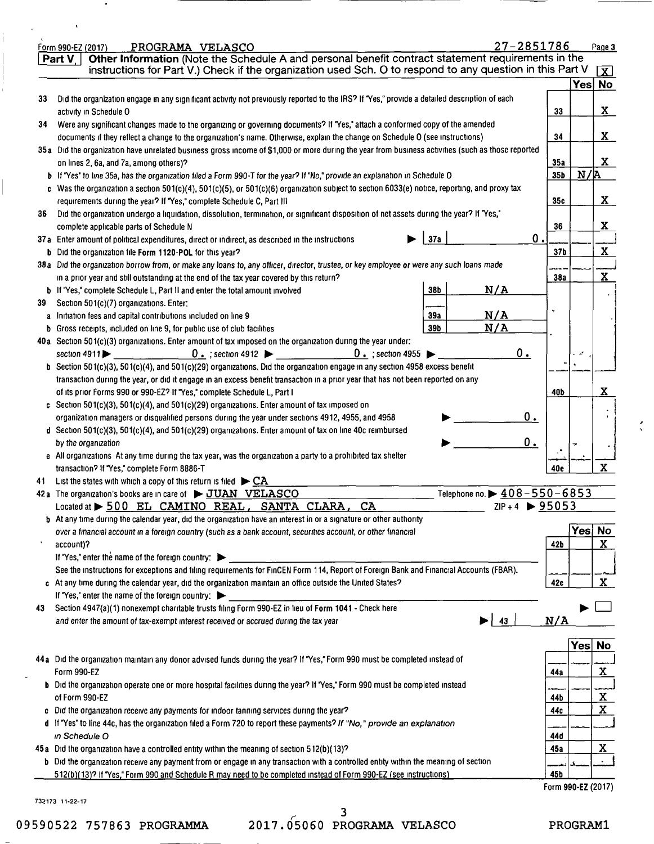|    | 27-2851786<br>PROGRAMA VELASCO<br>Form 990-EZ (2017)                                                                                                                                                                                                    |                 |        | Page 3               |
|----|---------------------------------------------------------------------------------------------------------------------------------------------------------------------------------------------------------------------------------------------------------|-----------------|--------|----------------------|
|    | Other Information (Note the Schedule A and personal benefit contract statement requirements in the<br>Part V                                                                                                                                            |                 |        |                      |
|    | instructions for Part V.) Check if the organization used Sch. O to respond to any question in this Part V                                                                                                                                               |                 |        | $\mathbf{X}$         |
|    |                                                                                                                                                                                                                                                         |                 |        | Yes No               |
| 33 | Did the organization engage in any significant activity not previously reported to the IRS? If "Yes," provide a detailed description of each                                                                                                            |                 |        |                      |
|    | activity in Schedule O                                                                                                                                                                                                                                  | 33              |        | $\mathbf{X}$         |
| 34 | Were any significant changes made to the organizing or governing documents? If "Yes," attach a conformed copy of the amended                                                                                                                            |                 |        |                      |
|    | documents if they reflect a change to the organization's name. Otherwise, explain the change on Schedule O (see instructions)                                                                                                                           | 34              |        | $\mathbf{X}_{-}$     |
|    | 35a Did the organization have unrelated business gross income of \$1,000 or more during the year from business activities (such as those reported                                                                                                       |                 |        |                      |
|    | on lines 2, 6a, and 7a, among others)?                                                                                                                                                                                                                  | 35a             |        | X.                   |
|    | b If "Yes" to line 35a, has the organization filed a Form 990-T for the year? If "No," provide an explanation in Schedule O                                                                                                                             | 35b             | N/R    |                      |
|    | c Was the organization a section 501(c)(4), 501(c)(5), or 501(c)(6) organization subject to section 6033(e) notice, reporting, and proxy tax                                                                                                            |                 |        |                      |
|    | requirements during the year? If "Yes," complete Schedule C, Part III                                                                                                                                                                                   | 35c             |        | $\mathbf{X}_{\perp}$ |
|    | Did the organization undergo a liquidation, dissolution, termination, or significant disposition of net assets during the year? If "Yes,"                                                                                                               |                 |        |                      |
| 36 |                                                                                                                                                                                                                                                         | 36              |        | X                    |
|    | complete applicable parts of Schedule N<br>0.<br>37a                                                                                                                                                                                                    |                 |        |                      |
|    | 37a Enter amount of political expenditures, direct or indirect, as described in the instructions                                                                                                                                                        |                 |        | $\mathbf x$          |
|    | <b>b</b> Did the organization file Form 1120-POL for this year?                                                                                                                                                                                         | 37 <sub>b</sub> |        |                      |
|    | 38a Did the organization borrow from, or make any loans to, any officer, director, trustee, or key employee or were any such loans made                                                                                                                 |                 |        |                      |
|    | in a prior year and still outstanding at the end of the tax year covered by this return?                                                                                                                                                                | 38a             |        | $\mathbf X$          |
|    | N/A<br>38b<br>b If "Yes," complete Schedule L, Part II and enter the total amount involved                                                                                                                                                              |                 |        |                      |
| 39 | Section 501(c)(7) organizations. Enter:                                                                                                                                                                                                                 | ٠,              |        |                      |
|    | N/A<br>39a<br>a Initiation fees and capital contributions included on line 9                                                                                                                                                                            |                 |        |                      |
|    | N/A<br>39b<br><b>b</b> Gross receipts, included on line 9, for public use of club facilities                                                                                                                                                            |                 |        |                      |
|    | 40a Section 501(c)(3) organizations. Enter amount of tax imposed on the organization during the year under:                                                                                                                                             |                 |        |                      |
|    | 0.<br>$0.$ ; section 4912<br>$0.$ ; section 4955<br>section 4911 $\blacktriangleright$                                                                                                                                                                  |                 | - 1    |                      |
|    | b Section 501(c)(3), 501(c)(4), and 501(c)(29) organizations. Did the organization engage in any section 4958 excess benefit                                                                                                                            |                 |        |                      |
|    | transaction during the year, or did it engage in an excess benefit transaction in a prior year that has not been reported on any                                                                                                                        |                 |        |                      |
|    | of its prior Forms 990 or 990-EZ? If "Yes," complete Schedule L, Part I                                                                                                                                                                                 | 40b             |        | x                    |
|    | c Section 501(c)(3), 501(c)(4), and 501(c)(29) organizations. Enter amount of tax imposed on                                                                                                                                                            |                 |        |                      |
|    | 0.<br>organization managers or disqualified persons during the year under sections 4912, 4955, and 4958                                                                                                                                                 |                 |        |                      |
|    | d Section 501(c)(3), 501(c)(4), and 501(c)(29) organizations. Enter amount of tax on line 40c reimbursed                                                                                                                                                |                 |        |                      |
|    | 0.<br>by the organization                                                                                                                                                                                                                               |                 |        |                      |
|    | e All organizations At any time during the tax year, was the organization a party to a prohibited tax shelter                                                                                                                                           |                 |        |                      |
|    | transaction? If "Yes," complete Form 8886-T                                                                                                                                                                                                             | 40e             |        | $\mathbf X$          |
| 41 | List the states with which a copy of this return is filed $\triangleright$ CA                                                                                                                                                                           |                 |        |                      |
|    | Telephone no. $\triangleright$ 408-550-6853<br>42a The organization's books are in care of $\rightarrow$ JUAN VELASCO                                                                                                                                   |                 |        |                      |
|    | ZIP + 4 $\triangleright$ 95053<br>CA<br>Located at > 500 EL CAMINO REAL, SANTA CLARA,                                                                                                                                                                   |                 |        |                      |
|    | <b>b</b> At any time during the calendar year, did the organization have an interest in or a signature or other authority                                                                                                                               |                 |        |                      |
|    | over a financial account in a foreign country (such as a bank account, securities account, or other financial                                                                                                                                           |                 | Yes No |                      |
|    | account)?                                                                                                                                                                                                                                               | 42b             |        | X                    |
|    | If "Yes," enter the name of the foreign country: $\blacktriangleright$                                                                                                                                                                                  |                 |        |                      |
|    | See the instructions for exceptions and filing requirements for FinCEN Form 114, Report of Foreign Bank and Financial Accounts (FBAR).                                                                                                                  |                 |        |                      |
|    |                                                                                                                                                                                                                                                         |                 |        | X                    |
|    |                                                                                                                                                                                                                                                         | 42c             |        |                      |
|    | c At any time during the calendar year, did the organization maintain an office outside the United States?                                                                                                                                              |                 |        |                      |
|    | If "Yes," enter the name of the foreign country:                                                                                                                                                                                                        |                 |        |                      |
|    | Section 4947(a)(1) nonexempt charitable trusts filing Form 990-EZ in lieu of Form 1041 - Check here                                                                                                                                                     |                 |        |                      |
|    | 43<br>and enter the amount of tax-exempt interest received or accrued during the tax year                                                                                                                                                               | N/A             |        |                      |
|    |                                                                                                                                                                                                                                                         |                 |        |                      |
|    |                                                                                                                                                                                                                                                         |                 | Yes    | <b>No</b>            |
|    | 44a Did the organization maintain any donor advised funds during the year? If "Yes," Form 990 must be completed instead of                                                                                                                              |                 |        |                      |
|    | Form 990-EZ                                                                                                                                                                                                                                             | 44a             |        | <u>x</u>             |
|    | b Did the organization operate one or more hospital facilities during the year? If "Yes," Form 990 must be completed instead                                                                                                                            |                 |        |                      |
|    | of Form 990-EZ                                                                                                                                                                                                                                          | 44b             |        | X                    |
|    | c Did the organization receive any payments for indoor tanning services during the year?                                                                                                                                                                | 44c             |        | $\mathbf x$          |
|    | d if "Yes" to line 44c, has the organization filed a Form 720 to report these payments? If "No," provide an explanation                                                                                                                                 |                 |        |                      |
|    | in Schedule O                                                                                                                                                                                                                                           | 44d             |        |                      |
|    | 45a Did the organization have a controlled entity within the meaning of section 512(b)(13)?                                                                                                                                                             | 45a             |        | X                    |
|    | b Did the organization receive any payment from or engage in any transaction with a controlled entity within the meaning of section<br>512(b)(13)? If 'Yes," Form 990 and Schedule R may need to be completed instead of Form 990-EZ (see instructions) | 45b             |        |                      |

732173 11-22-17

09590522 757863 PROGRAMMA

 $\bullet$ 

 $\frac{1}{4}$ 

*r 3*  2017.05060 PROGRAMA VELASCO  $\frac{1}{\sqrt{2}}$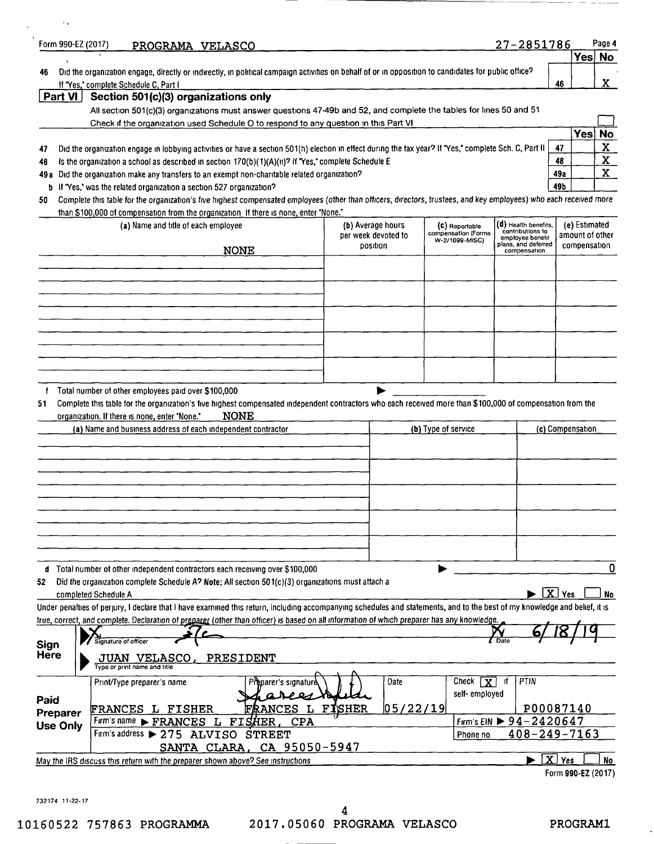|                                  | Form 990-EZ (2017)<br>PROGRAMA VELASCO                                                                                                                                                                                                                                            |                      |                                       | <u>27-2851786</u>                        | Yes No                     |
|----------------------------------|-----------------------------------------------------------------------------------------------------------------------------------------------------------------------------------------------------------------------------------------------------------------------------------|----------------------|---------------------------------------|------------------------------------------|----------------------------|
| 46                               | Did the organization engage, directly or indirectly, in political campaign activities on behalf of or in opposition to candidates for public office?                                                                                                                              |                      |                                       |                                          |                            |
|                                  | If "Yes," complete Schedule C, Part I                                                                                                                                                                                                                                             |                      |                                       |                                          | X<br>46                    |
| Part VI                          | Section 501(c)(3) organizations only                                                                                                                                                                                                                                              |                      |                                       |                                          |                            |
|                                  | All section 501(c)(3) organizations must answer questions 47-49b and 52, and complete the tables for lines 50 and 51                                                                                                                                                              |                      |                                       |                                          |                            |
|                                  | Check if the organization used Schedule O to respond to any question in this Part VI                                                                                                                                                                                              |                      |                                       |                                          | <b>Yes</b><br><b>No</b>    |
|                                  |                                                                                                                                                                                                                                                                                   |                      |                                       |                                          | $\mathbf{x}$<br>47         |
| 47<br>48                         | Did the organization engage in lobbying activities or have a section 501(h) election in effect during the tax year? If "Yes," complete Sch. C, Part II<br>Is the organization a school as described in section 170(b)(1)(A)(ii)? If "Yes," complete Schedule E                    |                      |                                       |                                          | $\mathbf{x}_{\perp}$<br>48 |
|                                  | 49a Did the organization make any transfers to an exempt non-charitable related organization?                                                                                                                                                                                     |                      |                                       |                                          | $\mathbf{x}$<br>49a        |
|                                  | b If "Yes," was the related organization a section 527 organization?                                                                                                                                                                                                              |                      |                                       |                                          | 49b                        |
| 50                               | Complete this table for the organization's five highest compensated employees (other than officers, directors, trustees, and key employees) who each received more                                                                                                                |                      |                                       |                                          |                            |
|                                  | than \$100,000 of compensation from the organization. If there is none, enter "None."                                                                                                                                                                                             |                      |                                       |                                          |                            |
|                                  | (a) Name and title of each employee                                                                                                                                                                                                                                               | (b) Average hours    | (C) Reportable                        | (d) Health benefits,<br>contributions to | (e) Estimated              |
|                                  |                                                                                                                                                                                                                                                                                   | per week devoted to  | compensation (Forms<br>W-2/1099-MISC) | employee benefit<br>plans, and deferred  | amount of other            |
|                                  | <b>NONE</b>                                                                                                                                                                                                                                                                       | position             |                                       | compensation                             | compensation               |
|                                  |                                                                                                                                                                                                                                                                                   |                      |                                       |                                          |                            |
|                                  |                                                                                                                                                                                                                                                                                   |                      |                                       |                                          |                            |
|                                  |                                                                                                                                                                                                                                                                                   |                      |                                       |                                          |                            |
|                                  |                                                                                                                                                                                                                                                                                   |                      |                                       |                                          |                            |
|                                  |                                                                                                                                                                                                                                                                                   |                      |                                       |                                          |                            |
|                                  |                                                                                                                                                                                                                                                                                   |                      |                                       |                                          |                            |
|                                  |                                                                                                                                                                                                                                                                                   |                      |                                       |                                          |                            |
|                                  |                                                                                                                                                                                                                                                                                   |                      |                                       |                                          |                            |
|                                  | Total number of other employees paid over \$100,000<br>Complete this table for the organization's five highest compensated independent contractors who each received more than \$100,000 of compensation from the<br><b>NONE</b><br>organization. If there is none, enter "None." |                      |                                       |                                          |                            |
| f                                | (a) Name and business address of each independent contractor                                                                                                                                                                                                                      |                      | (b) Type of service                   |                                          | (c) Compensation           |
|                                  |                                                                                                                                                                                                                                                                                   |                      |                                       |                                          |                            |
|                                  |                                                                                                                                                                                                                                                                                   |                      |                                       |                                          |                            |
|                                  |                                                                                                                                                                                                                                                                                   |                      |                                       |                                          |                            |
|                                  |                                                                                                                                                                                                                                                                                   |                      |                                       |                                          |                            |
|                                  |                                                                                                                                                                                                                                                                                   |                      |                                       |                                          |                            |
|                                  | d Total number of other independent contractors each receiving over \$100,000                                                                                                                                                                                                     |                      |                                       |                                          |                            |
|                                  | Did the organization complete Schedule A? Note: All section 501(c)(3) organizations must attach a                                                                                                                                                                                 |                      |                                       |                                          |                            |
|                                  | completed Schedule A                                                                                                                                                                                                                                                              |                      |                                       |                                          | $\boxed{\mathbf{X}}$ Yes   |
|                                  | Under penalties of perjury, I declare that I have examined this return, including accompanying schedules and statements, and to the best of my knowledge and belief, it is                                                                                                        |                      |                                       |                                          |                            |
|                                  | true, correct, and complete. Declaration of preparer (other than officer) is based on all information of which preparer has any knowledge.                                                                                                                                        |                      |                                       |                                          |                            |
|                                  | Signature of officer                                                                                                                                                                                                                                                              |                      |                                       |                                          |                            |
|                                  | PRESIDENT<br>JUAN VELASCO,<br>Type or print name and title                                                                                                                                                                                                                        |                      |                                       |                                          |                            |
|                                  | Print/Type preparer's name<br>Preparer's signatui                                                                                                                                                                                                                                 | Date                 | Check $\sqrt{x}$                      | PTIN<br>-it                              |                            |
|                                  |                                                                                                                                                                                                                                                                                   |                      | self-employed                         |                                          |                            |
| 51<br>52<br>Sign<br>Here<br>Paid | FRANCES<br><b>FRANCES L FISHER</b>                                                                                                                                                                                                                                                | L FISHER<br>05/22/19 |                                       |                                          | P00087140                  |
|                                  | Firm's name FRANCES L<br>FISHER<br><b>CPA</b>                                                                                                                                                                                                                                     |                      |                                       | Firm's EIN $\triangleright$ 94-2420647   |                            |
| Preparer<br><b>Use Only</b>      | Firm's address > 275 ALVISO STREET                                                                                                                                                                                                                                                |                      | Phone no                              | $408 - 249 - 7163$                       |                            |
|                                  | CA 95050-5947<br>SANTA CLARA,<br>May the IRS discuss this return with the preparer shown above? See instructions                                                                                                                                                                  |                      |                                       |                                          | $X$ Yes                    |

732174 11-22-17

 $\ddot{\phantom{1}}$ 

 $\hspace{0.1mm}-\hspace{0.1mm}$  $\qquad \qquad -$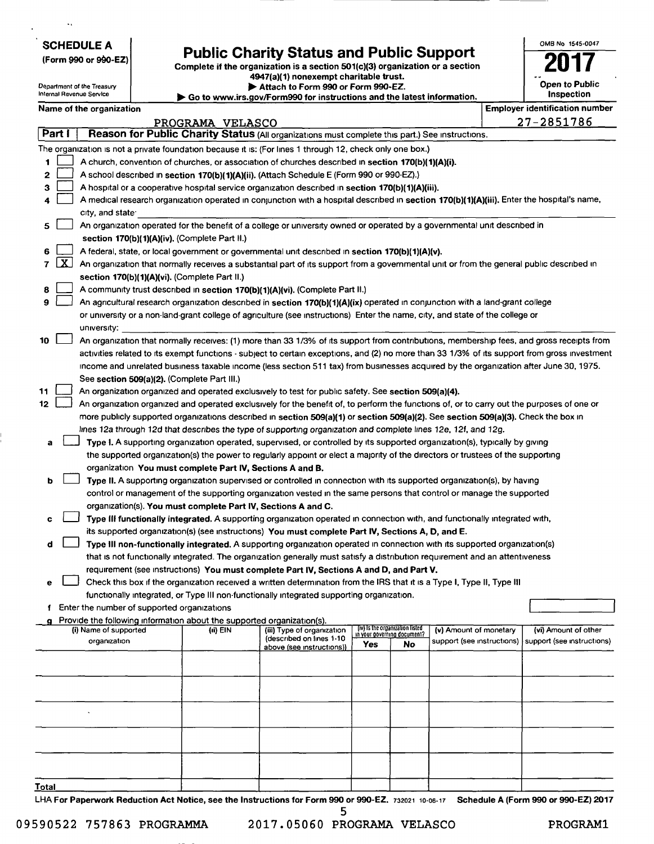SCHEDULE A

 $\ddotsc$ 

Department of the Treasury Internal Revenue Service

(Form 990 or 99o-EZ)

## **Public Charity Status and Public Support**

Complete if the organization is a section 501(c)(3) organization or a section 4947(a)(1) nonexempt charitable trust.

~ Attach to Form 990 or Form 99O-EZ.

~ Go to www.irs.govlForm99O for instructions and the latest information.

| OMB No 1545-0047             |
|------------------------------|
|                              |
| Open to Public<br>Inspection |

|       |                     | Name of the organization                                                                                                                      |                  |                                                        |     |                                 |                            | <b>Employer identification number</b>              |
|-------|---------------------|-----------------------------------------------------------------------------------------------------------------------------------------------|------------------|--------------------------------------------------------|-----|---------------------------------|----------------------------|----------------------------------------------------|
|       |                     |                                                                                                                                               | PROGRAMA VELASCO |                                                        |     |                                 |                            | <u>27-2851786</u>                                  |
|       | Part I              | Reason for Public Charity Status (All organizations must complete this part.) See instructions.                                               |                  |                                                        |     |                                 |                            |                                                    |
|       |                     | The organization is not a private foundation because it is: (For lines 1 through 12, check only one box.)                                     |                  |                                                        |     |                                 |                            |                                                    |
| 1     |                     | A church, convention of churches, or association of churches described in section 170(b)(1)(A)(i).                                            |                  |                                                        |     |                                 |                            |                                                    |
| 2     |                     | A school described in section 170(b)(1)(A)(ii), (Attach Schedule E (Form 990 or 990-EZ).)                                                     |                  |                                                        |     |                                 |                            |                                                    |
| з     |                     | A hospital or a cooperative hospital service organization described in section 170(b)(1)(A)(iii).                                             |                  |                                                        |     |                                 |                            |                                                    |
| 4     |                     | A medical research organization operated in conjunction with a hospital described in section 170(b)(1)(A)(iii). Enter the hospital's name,    |                  |                                                        |     |                                 |                            |                                                    |
|       |                     | city, and state.                                                                                                                              |                  |                                                        |     |                                 |                            |                                                    |
| 5     |                     | An organization operated for the benefit of a college or university owned or operated by a governmental unit described in                     |                  |                                                        |     |                                 |                            |                                                    |
|       |                     | section 170(b)(1)(A)(iv). (Complete Part II.)                                                                                                 |                  |                                                        |     |                                 |                            |                                                    |
| 6     |                     | A federal, state, or local government or governmental unit described in section 170(b)(1)(A)(v).                                              |                  |                                                        |     |                                 |                            |                                                    |
| 7     | $\lfloor x \rfloor$ | An organization that normally receives a substantial part of its support from a governmental unit or from the general public described in     |                  |                                                        |     |                                 |                            |                                                    |
|       |                     | section 170(b)(1)(A)(vi). (Complete Part II.)                                                                                                 |                  |                                                        |     |                                 |                            |                                                    |
| 8     |                     | A community trust described in section 170(b)(1)(A)(vi). (Complete Part II.)                                                                  |                  |                                                        |     |                                 |                            |                                                    |
| 9     |                     | An agricultural research organization described in section 170(b)(1)(A)(ix) operated in conjunction with a land-grant college                 |                  |                                                        |     |                                 |                            |                                                    |
|       |                     | or university or a non-land-grant college of agriculture (see instructions) Enter the name, city, and state of the college or                 |                  |                                                        |     |                                 |                            |                                                    |
|       |                     | university:                                                                                                                                   |                  |                                                        |     |                                 |                            |                                                    |
| 10    |                     | An organization that normally receives: (1) more than 33 1/3% of its support from contributions, membership fees, and gross receipts from     |                  |                                                        |     |                                 |                            |                                                    |
|       |                     | activities related to its exempt functions - subject to certain exceptions, and (2) no more than 33 1/3% of its support from gross investment |                  |                                                        |     |                                 |                            |                                                    |
|       |                     | income and unrelated business taxable income (less section 511 tax) from businesses acquired by the organization after June 30, 1975.         |                  |                                                        |     |                                 |                            |                                                    |
|       |                     | See section 509(a)(2). (Complete Part III.)                                                                                                   |                  |                                                        |     |                                 |                            |                                                    |
| 11    |                     | An organization organized and operated exclusively to test for public safety. See section 509(a)(4).                                          |                  |                                                        |     |                                 |                            |                                                    |
| 12    |                     | An organization organized and operated exclusively for the benefit of, to perform the functions of, or to carry out the purposes of one or    |                  |                                                        |     |                                 |                            |                                                    |
|       |                     | more publicly supported organizations described in section 509(a)(1) or section 509(a)(2). See section 509(a)(3). Check the box in            |                  |                                                        |     |                                 |                            |                                                    |
|       |                     | lines 12a through 12d that describes the type of supporting organization and complete lines 12e, 12f, and 12g.                                |                  |                                                        |     |                                 |                            |                                                    |
|       |                     |                                                                                                                                               |                  |                                                        |     |                                 |                            |                                                    |
| а     |                     | Type 1. A supporting organization operated, supervised, or controlled by its supported organization(s), typically by giving                   |                  |                                                        |     |                                 |                            |                                                    |
|       |                     | the supported organization(s) the power to regularly appoint or elect a majority of the directors or trustees of the supporting               |                  |                                                        |     |                                 |                            |                                                    |
|       |                     | organization You must complete Part IV, Sections A and B.                                                                                     |                  |                                                        |     |                                 |                            |                                                    |
| b     |                     | Type II. A supporting organization supervised or controlled in connection with its supported organization(s), by having                       |                  |                                                        |     |                                 |                            |                                                    |
|       |                     | control or management of the supporting organization vested in the same persons that control or manage the supported                          |                  |                                                        |     |                                 |                            |                                                    |
|       |                     | organization(s). You must complete Part IV, Sections A and C.                                                                                 |                  |                                                        |     |                                 |                            |                                                    |
| c     |                     | Type III functionally integrated. A supporting organization operated in connection with, and functionally integrated with,                    |                  |                                                        |     |                                 |                            |                                                    |
|       |                     | its supported organization(s) (see instructions) You must complete Part IV, Sections A, D, and E.                                             |                  |                                                        |     |                                 |                            |                                                    |
| d     |                     | Type III non-functionally integrated. A supporting organization operated in connection with its supported organization(s)                     |                  |                                                        |     |                                 |                            |                                                    |
|       |                     | that is not functionally integrated. The organization generally must satisfy a distribution requirement and an attentiveness                  |                  |                                                        |     |                                 |                            |                                                    |
|       |                     | requirement (see instructions) You must complete Part IV, Sections A and D, and Part V.                                                       |                  |                                                        |     |                                 |                            |                                                    |
|       |                     | Check this box if the organization received a written determination from the IRS that it is a Type I, Type II, Type III                       |                  |                                                        |     |                                 |                            |                                                    |
|       |                     | functionally integrated, or Type III non-functionally integrated supporting organization.                                                     |                  |                                                        |     |                                 |                            |                                                    |
|       |                     | f Enter the number of supported organizations                                                                                                 |                  |                                                        |     |                                 |                            |                                                    |
|       |                     | Provide the following information about the supported organization(s).<br>(i) Name of supported                                               |                  |                                                        |     | (iv) Is the organization listed | (v) Amount of monetary     |                                                    |
|       |                     | organization                                                                                                                                  | (ii) EIN         | (iii) Type of organization<br>(described on lines 1-10 |     | ın your governing document?     | support (see instructions) | (vi) Amount of other<br>support (see instructions) |
|       |                     |                                                                                                                                               |                  | above (see instructions))                              | Yes | No                              |                            |                                                    |
|       |                     |                                                                                                                                               |                  |                                                        |     |                                 |                            |                                                    |
|       |                     |                                                                                                                                               |                  |                                                        |     |                                 |                            |                                                    |
|       |                     |                                                                                                                                               |                  |                                                        |     |                                 |                            |                                                    |
|       |                     |                                                                                                                                               |                  |                                                        |     |                                 |                            |                                                    |
|       |                     |                                                                                                                                               |                  |                                                        |     |                                 |                            |                                                    |
|       |                     |                                                                                                                                               |                  |                                                        |     |                                 |                            |                                                    |
|       |                     |                                                                                                                                               |                  |                                                        |     |                                 |                            |                                                    |
|       |                     |                                                                                                                                               |                  |                                                        |     |                                 |                            |                                                    |
|       |                     |                                                                                                                                               |                  |                                                        |     |                                 |                            |                                                    |
|       |                     |                                                                                                                                               |                  |                                                        |     |                                 |                            |                                                    |
| Total |                     |                                                                                                                                               |                  |                                                        |     |                                 |                            |                                                    |
|       |                     | LHA For Paperwork Reduction Act Notice, see the Instructions for Form 990 or 990-EZ. 732021 10-06-17                                          |                  |                                                        |     |                                 |                            | Schedule A (Form 990 or 990-EZ) 2017               |

5 09590522 757863 PROGRAMMA 2017.05060 PROGRAMA VELASCO PROGRAM1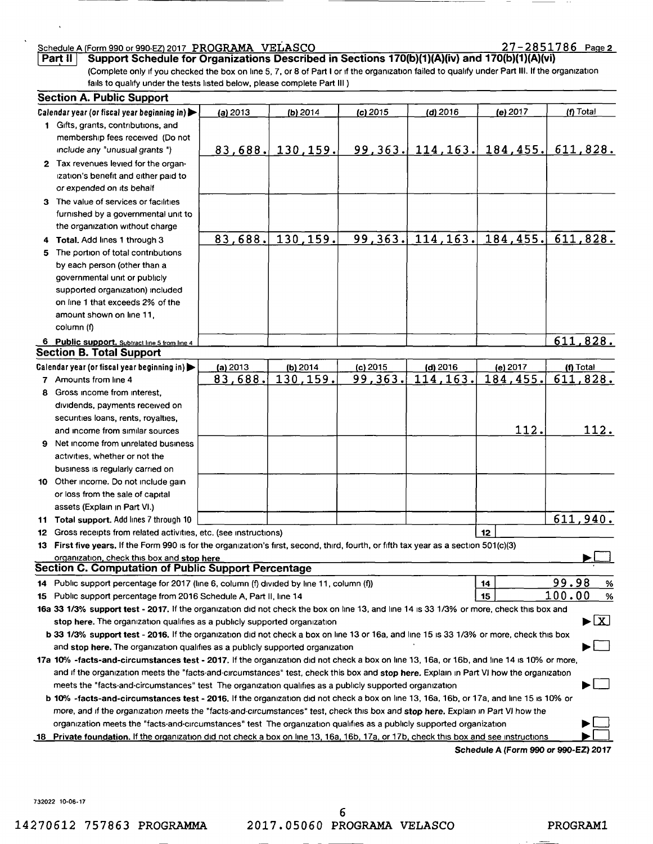# Schedule A (Form 990 or 990-EZ) 2017 PROGRAMA VELASCO 2017 2018 27 - 28 51 786 Page 2<br>Part II 3 Support Schedule for Organizations Described in Sections 170(b)(1)(A)(iv) and 170(b)(1)(A)(vi)

------- --------------

Support Schedule for Organizations Described in Sections 170(b)(1)(A)(iv) and 170(b)(1)(A)(vi) (Complete only If you checked the box on line 5,7, or 8 of Part I or If the organization failed to qualify under Part III. If the organization falls to qualify under the tests listed below, please complete Part III )

#### Section A. Public Support Calendar year (or fiscal year beginning in)  $\begin{vmatrix} 1 & 2013 & 1 \end{vmatrix}$  (b) 2014 (c) 2015 (d) 2016 (e) 2017 (f) Total 1 GiftS, grants, contributions, and membership fees received (Do not Include any "unusual grants ") 83 688. *130.1* 159. 99 363. 114,163. 184 455. 611 828. 2 Tax revenues levied for the organ-Ization's benefit and either paid to or expended on its behalf 3 The value of services or facilities furnished by a governmental unit to the organization Without charge 4 Total. Add lines 1 through 3 **83.688.** 130.159. 99.363. 114.163. 184.455. 611.828. 5 The portion of total contributions by each person (other than a governmental unit or publicly supported organization) included on line 1 that exceeds 2% of the amount shown on line 11, column (f) 6 Public SUDDort. Subtract hne 5 from hne 4 611 828. Section B. Total Support Calendar year (or fiscal year beginning in)  $\Box$  (a) 2013 | (b) 2014 | (c) 2015 | (d) 2016 | (e) 2017 | (f) Total 7 Amounts from line 4 83,688. 130,159. 99,363. 114,163. 184 184.455. 611.828. 8 Gross income from interest diVidends, payments received on securities loans, rents, royalties, 112. 112. and income from similar sources 9 Net income from unrelated business activities, whether or not the bUSiness IS regularly carned on 10 Other income. Do not include gain or loss from the sale of capital assets (Explain in Part VI.) 611 940. 11 Total support. Add lines 7 through 10 12 Gross receipts from related activities, etc. (see instructions) 12 13 First five years. If the Form 990 IS for the organization's first, second, third, fourth, or fifth tax year as a section 501 (c)(3) organization, check this box and stop here Section C. Computation of Public Support Percentage 99.98 % 14 Public support percentage for 2017 (line 6, column (f) diVided by line 11, column (f))  $14$ 100.00 % 15 Public support percentage from 2016 Schedule A, Part II, line 14 15 16a 33 1/3% support test - 2017. If the organization did not check the box on line 13, and line 14 is 33 1/3% or more, check this box and stop here. The organization qualifies as a publicly supported organization  $\blacktriangleright \boxed{X}$ b 33 1/3% support test - 2016. If the organization did not check a box on line 13 or 16a, and line 15 is 33 1/3% or more, check this box and stop here. The organization qualifies as a publicly supported organization  $\blacktriangleright$ 17a 10% -facts-and-circumstances test - 2017. If the organization did not check a box on line 13, 16a, or 16b, and line 14 is 10% or more, and if the organization meets the "facts-and-circumstances" test, check this box and stop here. Explain in Part VI how the organization meets the "facts-and-circumstances" test The organization qualifies as a publicly supported organization b 10% -facts-and-circumstances test - 2016. If the organization did not check a box on line 13, 16a, 16b, or 17a, and line 15 is 10% or more, and if the organization meets the "facts-and-circumstances" test, check this box and stop here. Explain in Part VI how the organization meets the "facts-and-circumstances" test The organization qualifies as a publicly supported organization 18 Private foundation. If the organization did not check a box on line 13, 16a, 16b, 17a, or 17b, check this box and see instructions

Schedule A (Form 990 or 99O-EZ) 2017

132022 10-06-17

6 14270612 757863 PROGRAMMA 2017.05060 PROGRAMA VELASCO PROGRAM 1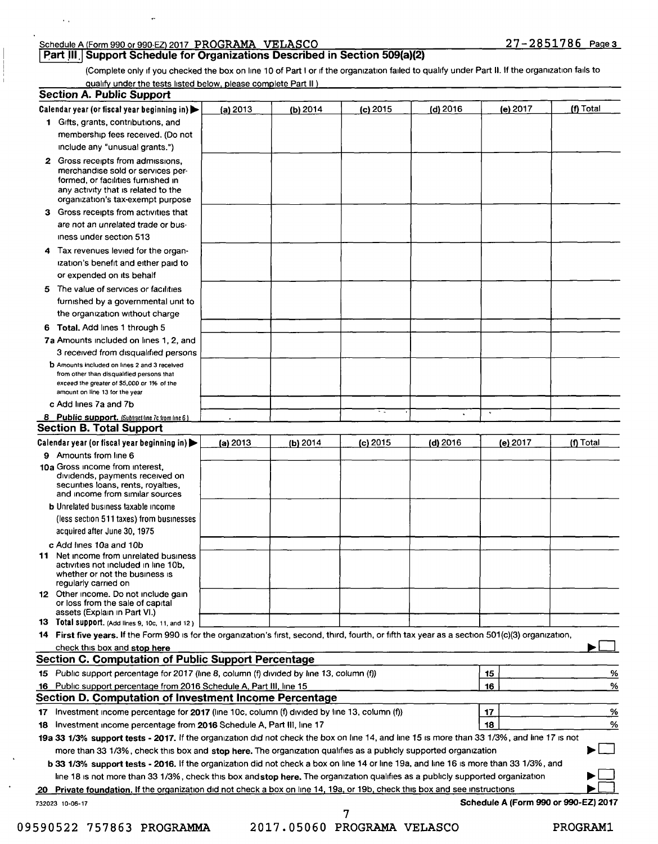### Schedule A (Form 990 or 990-EZ) 2017 PROGRAMA VELASCO 2008 2018 27-2851786 Page 3

 $\ddot{\phantom{a}}$ 

 $\bar{r}$  ,

**Part III.** Support Schedule for Organizations Described in Section 509(a)(2)

(Complete only If you checked the box on line 10 of Part I or If the organization failed to qualify under Part II. If the organization falls to qualify under the tests listed below, please complete Part II )

|    | <b>Section A. Public Support</b>                                                                                                                                                         |          |          |            |            |                                      |           |
|----|------------------------------------------------------------------------------------------------------------------------------------------------------------------------------------------|----------|----------|------------|------------|--------------------------------------|-----------|
|    | Calendar year (or fiscal year beginning in)                                                                                                                                              | (a) 2013 | (b) 2014 | $(c)$ 2015 | (d) $2016$ | (e) 2017                             | (f) Total |
|    | 1 Gifts, grants, contributions, and                                                                                                                                                      |          |          |            |            |                                      |           |
|    | membership fees received. (Do not                                                                                                                                                        |          |          |            |            |                                      |           |
|    | include any "unusual grants.")                                                                                                                                                           |          |          |            |            |                                      |           |
|    | 2 Gross receipts from admissions,<br>merchandise sold or services per-<br>formed, or facilities furnished in<br>any activity that is related to the<br>organization's tax-exempt purpose |          |          |            |            |                                      |           |
| з. | Gross receipts from activities that                                                                                                                                                      |          |          |            |            |                                      |           |
|    | are not an unrelated trade or bus-                                                                                                                                                       |          |          |            |            |                                      |           |
|    | iness under section 513                                                                                                                                                                  |          |          |            |            |                                      |           |
| 4  | Tax revenues levied for the organ-                                                                                                                                                       |          |          |            |            |                                      |           |
|    | ization's benefit and either paid to                                                                                                                                                     |          |          |            |            |                                      |           |
|    | or expended on its behalf                                                                                                                                                                |          |          |            |            |                                      |           |
|    | 5 The value of services or facilities                                                                                                                                                    |          |          |            |            |                                      |           |
|    | furnished by a governmental unit to                                                                                                                                                      |          |          |            |            |                                      |           |
|    | the organization without charge                                                                                                                                                          |          |          |            |            |                                      |           |
|    | 6 Total, Add lines 1 through 5                                                                                                                                                           |          |          |            |            |                                      |           |
|    | 7a Amounts included on lines 1, 2, and                                                                                                                                                   |          |          |            |            |                                      |           |
|    | 3 received from disqualified persons                                                                                                                                                     |          |          |            |            |                                      |           |
|    | <b>b</b> Amounts included on lines 2 and 3 received<br>from other than disqualited persons that<br>exceed the greater of \$5,000 or 1% of the<br>amount on line 13 for the year          |          |          |            |            |                                      |           |
|    | c Add lines 7a and 7b                                                                                                                                                                    |          |          |            |            |                                      |           |
|    | 8 Public support. (Subtract line 7c from line 6)                                                                                                                                         |          |          | ٠.         |            | $\mathbf{u}$                         |           |
|    | <b>Section B. Total Support</b>                                                                                                                                                          |          |          |            |            |                                      |           |
|    | Calendar year (or fiscal year beginning in)                                                                                                                                              | (a) 2013 | (b) 2014 | $(c)$ 2015 | $(d)$ 2016 | (e) 2017                             | (f) Total |
|    | 9 Amounts from line 6                                                                                                                                                                    |          |          |            |            |                                      |           |
|    | 10a Gross income from interest,<br>dividends, payments received on<br>securities loans, rents, royalties,<br>and income from similar sources                                             |          |          |            |            |                                      |           |
|    | <b>b</b> Unrelated business taxable income                                                                                                                                               |          |          |            |            |                                      |           |
|    | (less section 511 taxes) from businesses                                                                                                                                                 |          |          |            |            |                                      |           |
|    | acquired after June 30, 1975                                                                                                                                                             |          |          |            |            |                                      |           |
|    | c Add lines 10a and 10b                                                                                                                                                                  |          |          |            |            |                                      |           |
| 11 | Net income from unrelated business<br>activities not included in line 10b.<br>whether or not the business is<br>regularly carried on                                                     |          |          |            |            |                                      |           |
|    | 12 Other income. Do not include gain<br>or loss from the sale of capital<br>assets (Explain in Part VI.)                                                                                 |          |          |            |            |                                      |           |
|    | 13 Total support. (Add lines 9, 10c, 11, and 12)                                                                                                                                         |          |          |            |            |                                      |           |
|    | 14 First five years. If the Form 990 is for the organization's first, second, third, fourth, or fifth tax year as a section 501(c)(3) organization,                                      |          |          |            |            |                                      |           |
|    | check this box and stop here                                                                                                                                                             |          |          |            |            |                                      |           |
|    | <b>Section C. Computation of Public Support Percentage</b>                                                                                                                               |          |          |            |            |                                      |           |
|    | 15 Public support percentage for 2017 (line 8, column (f) divided by line 13, column (f))                                                                                                |          |          |            |            | 15                                   | %         |
|    | 16 Public support percentage from 2016 Schedule A, Part III, line 15                                                                                                                     |          |          |            |            | 16                                   | %         |
|    | Section D. Computation of Investment Income Percentage                                                                                                                                   |          |          |            |            |                                      |           |
|    | 17 Investment income percentage for 2017 (line 10c, column (f) divided by line 13, column (f))                                                                                           |          |          |            |            | 17                                   | %         |
|    | 18 Investment income percentage from 2016 Schedule A, Part III, line 17                                                                                                                  |          |          |            |            | 18                                   | %         |
|    | 19a 33 1/3% support tests - 2017. If the organization did not check the box on line 14, and line 15 is more than 33 1/3%, and line 17 is not                                             |          |          |            |            |                                      |           |
|    | more than 33 1/3%, check this box and stop here. The organization qualifies as a publicly supported organization                                                                         |          |          |            |            |                                      |           |
|    | b 33 1/3% support tests - 2016. If the organization did not check a box on line 14 or line 19a, and line 16 is more than 33 1/3%, and                                                    |          |          |            |            |                                      |           |
|    | line 18 is not more than 33 1/3%, check this box and stop here. The organization qualifies as a publicly supported organization                                                          |          |          |            |            |                                      |           |
|    | 20 Private foundation. If the organization did not check a box on line 14, 19a, or 19b, check this box and see instructions                                                              |          |          |            |            |                                      |           |
|    | 732023 10-06-17                                                                                                                                                                          |          |          | 7          |            | Schedule A (Form 990 or 990-EZ) 2017 |           |

09590522 757863 PROGRAMMA 2017.05060 PROGRAMA VELASCO PROGRAM1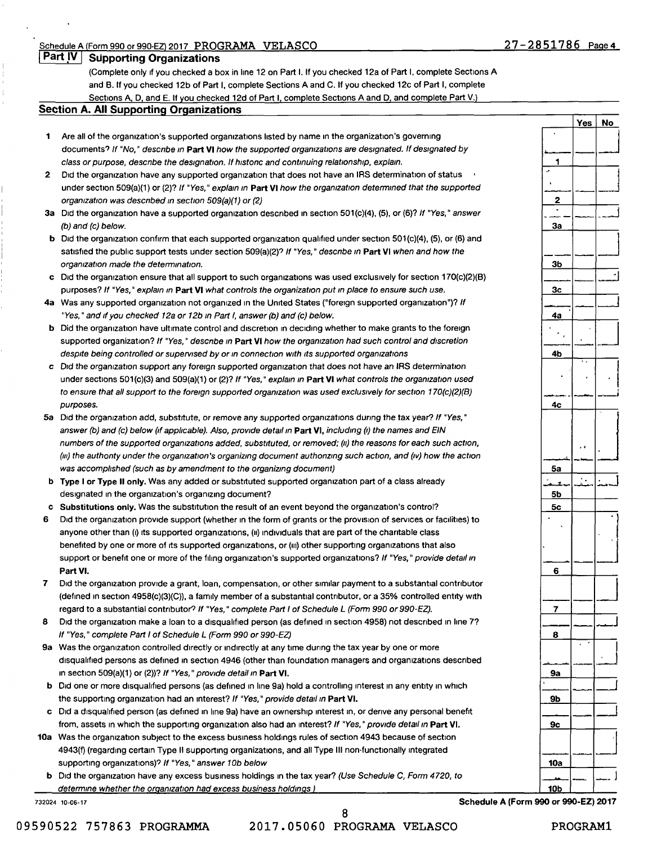Yes | No

#### Part IV | Supporting Organizations

(Complete only If you checked a box in line 12 on Part L If you checked 12a of Part I, complete Sections A and B. If you checked 12b of Part I, complete Sections A and C. If you checked 12c of Part I, complete Sections A, D, and E. If you checked 12d of Part I, complete Sections A and D, and complete Part V.)

#### Section A. All Supporting Organizations

- 1 Are all of the organization's supported organizations listed by name in the organization's governing documents? If "No, " descnbe *In* Part VI how the supported organizations are designated. If designated by class or purpose, descnbe the designation. If histonc and continuing relationship, explain.
- 2 Did the organization have any supported organization that does not have an IRS determination of status under section 509(a)(1) or (2)? If "Yes, " explain *In* Part VI how the organization determined that the supported organization was descnbed *In* section 509(a)(1) or (2)
- 3a Did the organization have a supported organization described in section 501(c)(4), (5), or (6)? If "Yes," answer (b) and (c) below.
- b Did the organization confirm that each supported organization qualified under section 501(c)(4), (5), or (6) and satisfied the public support tests under section 509(a)(2)? If "Yes, " descnbe *In* Part VI when and how the organization made the determination.
- c Old the organization ensure that all support to such organizations was used exclusively for section 170(c)(2)(8) purposes? If "Yes," explain in Part VI what controls the organization put in place to ensure such use.
- 4a Was any supported organization not organized in the United States ("foreign supported organization")? If "Yes, " and If you checked 12a or 12b *In* Part I, answer (b) and (c) below.
- b Did the organization have ultimate control and discretion in deciding whether to make grants to the foreign supported organization? If "Yes," describe in Part VI how the organization had such control and discretion despite being controlled or supervised by or *in connection with its supported organizations*
- c Old the organization support any foreign supported organization that does not have an IRS determination under sections 501(c)(3) and 509(a)(1) or (2)? If "Yes," explain in Part VI what controls the organization used to ensure that all support to the foreign supported organization was used exclusively for section 170(c)(2)(B) purposes.
- 5a Did the organization add, substitute, or remove any supported organizations during the tax year? If "Yes," answer (b) and (c) below (If applicable). Also, provide detail *In* Part VI, including *{I)* the names and EIN numbers of the supported organizations added, substituted, or removed; *(1/)* the reasons for each such action, *(III)* the authonty under the organization's organizing document authonzing such action, and *(IV)* how the action was accomplished (such as by amendment to the organizing document)
- b Type I or Type II only. Was any added or substituted supported organization part of a class already designated in the organization's organizing document?
- c Substitutions only. Was the substitution the result of an event beyond the organization's control?
- 6 Did the organization provide support (whether in the form of grants or the provision of services or facilities) to anyone other than (i) its supported organizations, (ii) individuals that are part of the charitable class benefited by one or more of its supported organizations, or (III) other supporting organizations that also support or benefit one or more of the filing organization's supported organizations? If "Yes," provide detail in Part VI.
- 7 Old the organization provide a grant, loan, compensation, or other similar payment to a substantial contributor (defined In section 4958(c)(3)(C)), a family member of a substantial contributor, or a 35% controlled entity with regard to a substantial contributor? If "Yes," complete Part I of Schedule L (Form 990 or 990-EZ).
- 8 Did the organization make a loan to a disqualified person (as defined in section 4958) not described in line 7? If "Yes, " complete Part I of Schedule L (Form 990 or 990-EZ)
- 9a Was the organization controlled directly or indirectly at any time during the tax year by one or more disqualified persons as defined in section 4946 (other than foundation managers and organizations described In section 509(a)(1) or (2))? If "Yes, " proVide detail *In* Part VI.
- b Did one or more disqualified persons (as defined in line 9a) hold a controlling interest in any entity in which the supporting organization had an interest? If "Yes," provide detail in Part VI.
- c Did a disqualified person (as defined in line 9a) have an ownership interest in, or derive any personal benefit from, assets in which the supporting organization also had an interest? If "Yes," provide detail in Part VI.
- 10a Was the organization subject to the excess business holdings rules of section 4943 because of section 4943(f) (regarding certain Type II supporting organizations, and all Type III non-functionally integrated supporting organizations)? If "Yes," answer 10b below
	- b Did the organization have any excess business holdings in the tax year? (Use Schedule C, Form 4720, to determine whether the organization had excess business holdings)

732024 10-06-17 Schedule A (Form 990 or 99O-EZ) 2017

8 09590522 757863 PROGRAMMA 2017.05060 PROGRAMA VELASCO PROGRAM1

 $\blacktriangleleft$  $\frac{1}{2}$   $\frac{1}{2}$   $\frac{1}{2}$   $\frac{1}{2}$  $\begin{array}{|c|c|c|c|c|}\n\hline\n2 & - & - & - \ \hline\n\end{array}$ 3a  $\begin{array}{|c|c|c|c|}\n\hline\n3b & -1 \\
\hline\n-1 & -1\n\end{array}$  $\frac{\overline{\phantom{a}}}{3b}$  $rac{1}{3c}$ 3c 4a  $\bar{\mathbf{z}}$ 4b  $\begin{bmatrix} 1 & 1 \\ 1 & 1 \end{bmatrix}$ 4c ..J ----- . Sa 5b 5c  $\frac{5c}{1}$ 6  $\frac{1}{\sqrt{2}}$  $\frac{1}{7}$   $\frac{1}{7}$ 8 \_\_ -.1 9a  $\frac{9b}{9b}$ 9b 9c --~ 10a  $\frac{10a}{10b}$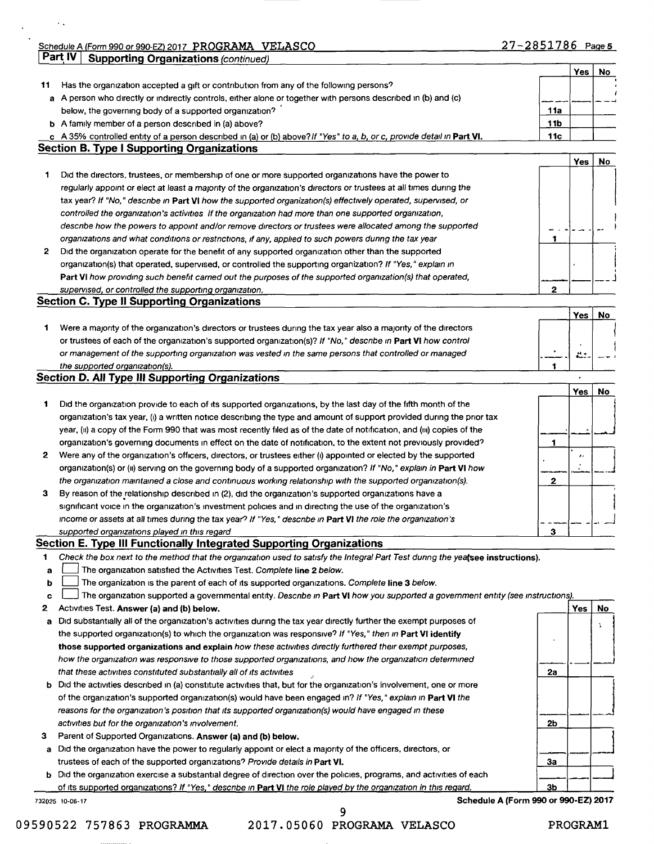Schedule A (Form 990 or 990-EZ) 2017 PROGRAMA VELASCO **Part IV | Supporting Organizations (continued)** 

 $\ddot{\phantom{1}}$  .

|              |                                                                                                                                 |              | Yes          | No |
|--------------|---------------------------------------------------------------------------------------------------------------------------------|--------------|--------------|----|
| 11           | Has the organization accepted a gift or contribution from any of the following persons?                                         |              |              |    |
|              | a A person who directly or indirectly controls, either alone or together with persons described in (b) and (c)                  |              |              |    |
|              | below, the governing body of a supported organization?                                                                          | 11a          |              |    |
|              | <b>b</b> A family member of a person described in (a) above?                                                                    | 11b          |              |    |
|              | c A 35% controlled entity of a person described in (a) or (b) above? If "Yes" to a, b, or c, provide detail in Part VI.         | 11c          |              |    |
|              | <b>Section B. Type I Supporting Organizations</b>                                                                               |              |              |    |
|              |                                                                                                                                 |              | Yes          | No |
| 1            | Did the directors, trustees, or membership of one or more supported organizations have the power to                             |              |              |    |
|              | regularly appoint or elect at least a majority of the organization's directors or trustees at all times during the              |              |              |    |
|              | tax year? If "No," describe in Part VI how the supported organization(s) effectively operated, supervised, or                   |              |              |    |
|              | controlled the organization's activities If the organization had more than one supported organization,                          |              |              |    |
|              | describe how the powers to appoint and/or remove directors or trustees were allocated among the supported                       |              |              |    |
|              | organizations and what conditions or restrictions, if any, applied to such powers during the tax year                           | 1            |              |    |
| $\mathbf{2}$ | Did the organization operate for the benefit of any supported organization other than the supported                             |              |              |    |
|              | organization(s) that operated, supervised, or controlled the supporting organization? If "Yes," explain in                      |              |              |    |
|              | Part VI how providing such benefit carned out the purposes of the supported organization(s) that operated,                      |              |              |    |
|              | supervised, or controlled the supporting organization.                                                                          | $\mathbf{2}$ |              |    |
|              | <b>Section C. Type II Supporting Organizations</b>                                                                              |              |              |    |
|              |                                                                                                                                 |              | Yes          | No |
|              | Were a majority of the organization's directors or trustees during the tax year also a majority of the directors                |              |              |    |
|              | or trustees of each of the organization's supported organization(s)? If "No," describe in Part VI how control                   |              |              |    |
|              | or management of the supporting organization was vested in the same persons that controlled or managed                          |              | $\mathbf{H}$ |    |
|              | the supported organization(s).                                                                                                  |              |              |    |
|              | <b>Section D. All Type III Supporting Organizations</b>                                                                         |              |              |    |
|              |                                                                                                                                 |              | Yes          | No |
|              | Did the organization provide to each of its supported organizations, by the last day of the fifth month of the                  |              |              |    |
|              | organization's tax year, (i) a written notice describing the type and amount of support provided during the prior tax           |              |              |    |
|              | year, (ii) a copy of the Form 990 that was most recently filed as of the date of notification, and (iii) copies of the          |              |              |    |
|              | organization's governing documents in effect on the date of notification, to the extent not previously provided?                | 1            |              |    |
|              | Were any of the organization's officers, directors, or trustees either (i) appointed or elected by the supported                |              | ,,           |    |
|              | organization(s) or (ii) serving on the governing body of a supported organization? If "No," explain in Part VI how              |              |              |    |
|              | the organization maintained a close and continuous working relationship with the supported organization(s).                     | 2            |              |    |
|              | By reason of the relationship described in (2), did the organization's supported organizations have a                           |              |              |    |
|              | significant voice in the organization's investment policies and in directing the use of the organization's                      |              |              |    |
|              | income or assets at all times during the tax year? If "Yes," describe in Part VI the role the organization's                    |              |              |    |
|              | supported organizations played in this regard                                                                                   | 3            |              |    |
|              |                                                                                                                                 |              |              |    |
|              |                                                                                                                                 |              |              |    |
|              | <b>Section E. Type III Functionally Integrated Supporting Organizations</b>                                                     |              |              |    |
|              | Check the box next to the method that the organization used to satisfy the Integral Part Test during the yealsee instructions). |              |              |    |
| а            | The organization satisfied the Activities Test. Complete line 2 below.                                                          |              |              |    |
|              | The organization is the parent of each of its supported organizations. Complete line 3 below.                                   |              |              |    |
|              | The organization supported a governmental entity. Describe in Part VI how you supported a government entity (see instructions). |              |              |    |
|              | Activities Test. Answer (a) and (b) below.                                                                                      |              | Yes          | No |
|              | Did substantially all of the organization's activities during the tax year directly further the exempt purposes of              |              |              | ÷. |
| b<br>c<br>a  | the supported organization(s) to which the organization was responsive? If "Yes," then in Part VI identify                      |              |              |    |
|              | those supported organizations and explain how these activities directly furthered their exempt purposes,                        |              |              |    |
|              | how the organization was responsive to those supported organizations, and how the organization determined                       |              |              |    |
|              | that these activities constituted substantially all of its activities                                                           | 2a           |              |    |
|              | Did the activities described in (a) constitute activities that, but for the organization's involvement, one or more             |              |              |    |
|              | of the organization's supported organization(s) would have been engaged in? If "Yes," explain in Part VI the                    |              |              |    |
|              | reasons for the organization's position that its supported organization(s) would have engaged in these                          |              |              |    |
| b            | activities but for the organization's involvement.                                                                              | 2b           |              |    |
|              | Parent of Supported Organizations. Answer (a) and (b) below.                                                                    |              |              |    |
| a            | Did the organization have the power to regularly appoint or elect a majority of the officers, directors, or                     |              |              |    |
|              | trustees of each of the supported organizations? Provide details in Part VI.                                                    | За           |              |    |
| b.           | Did the organization exercise a substantial degree of direction over the policies, programs, and activities of each             |              |              |    |

09590522 757863 PROGRAMMA 2017.05060 PROGRAMA VELASCO PROGRAM1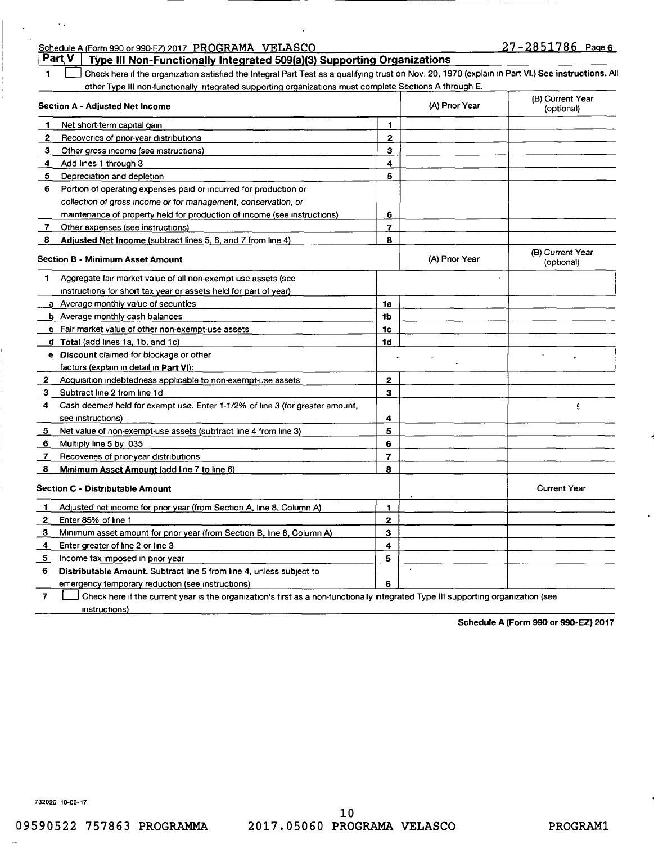| Schedule A (Form 990 or 990-EZ) 2017 PROGRAMA VELASCO                                                                                                   |                |                | 27-2851786 Page 6              |
|---------------------------------------------------------------------------------------------------------------------------------------------------------|----------------|----------------|--------------------------------|
| Part <sub>V</sub><br>Type III Non-Functionally Integrated 509(a)(3) Supporting Organizations                                                            |                |                |                                |
| Check here if the organization satisfied the Integral Part Test as a qualifying trust on Nov. 20, 1970 (explain in Part VI.) See instructions. All<br>1 |                |                |                                |
| other Type III non-functionally integrated supporting organizations must complete Sections A through E.                                                 |                |                |                                |
| <b>Section A - Adjusted Net Income</b>                                                                                                                  |                | (A) Prior Year | (B) Current Year<br>(optional) |
| Net short-term capital gain<br>п.                                                                                                                       | 1              |                |                                |
| $\mathbf{2}$<br>Recoveries of prior-year distributions                                                                                                  | $\mathbf{2}$   |                |                                |
| з.<br>Other gross income (see instructions)                                                                                                             | 3              |                |                                |
| Add lines 1 through 3<br>4                                                                                                                              | 4              |                |                                |
| 5.<br>Depreciation and depletion                                                                                                                        | 5              |                |                                |
| 6<br>Portion of operating expenses paid or incurred for production or                                                                                   |                |                |                                |
| collection of gross income or for management, conservation, or                                                                                          |                |                |                                |
| maintenance of property held for production of income (see instructions)                                                                                | 6              |                |                                |
| Other expenses (see instructions)<br><b>7</b>                                                                                                           | 7              |                |                                |
| Adjusted Net Income (subtract lines 5, 6, and 7 from line 4)<br>-8                                                                                      | 8              |                |                                |
| <b>Section B - Minimum Asset Amount</b>                                                                                                                 |                | (A) Prior Year | (B) Current Year<br>(optional) |
| Aggregate fair market value of all non-exempt-use assets (see<br>1                                                                                      |                |                |                                |
| instructions for short tax year or assets held for part of year)                                                                                        |                |                |                                |
| a Average monthly value of securities                                                                                                                   | 1a             |                |                                |
| <b>b</b> Average monthly cash balances                                                                                                                  | 1b             |                |                                |
| c Fair market value of other non-exempt-use assets                                                                                                      | 1c             |                |                                |
| d Total (add lines 1a, 1b, and 1c)                                                                                                                      | 1d             |                |                                |
| e Discount claimed for blockage or other                                                                                                                |                |                |                                |
| factors (explain in detail in Part VI):                                                                                                                 |                |                |                                |
| Acquisition indebtedness applicable to non-exempt-use assets<br>2                                                                                       | $\mathbf{2}$   |                |                                |
| Subtract line 2 from line 1d<br>3                                                                                                                       | 3              |                |                                |
| 4<br>Cash deemed held for exempt use. Enter 1-1/2% of line 3 (for greater amount,                                                                       |                |                | £                              |
| see instructions)                                                                                                                                       | 4              |                |                                |
| Net value of non-exempt-use assets (subtract line 4 from line 3)<br>5                                                                                   | 5              |                |                                |
| Multiply line 5 by 035<br>6                                                                                                                             | 6              |                |                                |
| Recoveries of prior-year distributions<br>7                                                                                                             | $\overline{7}$ |                |                                |
| Minimum Asset Amount (add line 7 to line 6)<br>$\mathbf{8}$                                                                                             | 8              |                |                                |
| <b>Section C - Distributable Amount</b>                                                                                                                 |                |                | <b>Current Year</b>            |
| Adjusted net income for prior year (from Section A, line 8, Column A)<br>-1                                                                             | 1              |                |                                |
| 2<br>Enter 85% of line 1                                                                                                                                | 2              |                |                                |
| 3<br>Minimum asset amount for prior year (from Section B, line 8, Column A)                                                                             | 3              |                |                                |
| Enter greater of line 2 or line 3<br>4                                                                                                                  | 4              |                |                                |
| 5<br>Income tax imposed in prior year                                                                                                                   | 5              |                |                                |
| Distributable Amount. Subtract line 5 from line 4, unless subject to<br>6                                                                               |                |                |                                |
| emergency temporary reduction (see instructions)                                                                                                        | 6              |                |                                |
| 7<br>Check here if the current year is the organization's first as a non-functionally integrated Type III supporting organization (see                  |                |                |                                |

Schedule A (Form 990 or 99O-EZ) 2017

732026 10-06-17

 $\sim$  .

Instructions)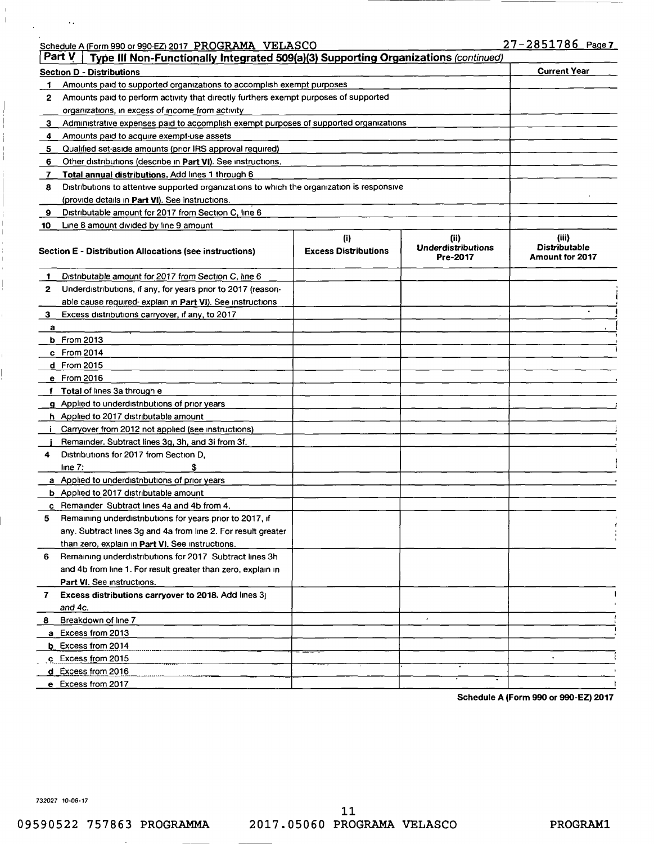|  |  | Schedule A (Form 990 or 990-EZ) 2017 PROGRAMA VELASCO |  |  |  |  |
|--|--|-------------------------------------------------------|--|--|--|--|
|--|--|-------------------------------------------------------|--|--|--|--|

 $\bar{1}$  $\mathbb T$ 

 $\sim$ 

|              | $3$ cheque A (Form as $\sigma$ as $c$ as $c$ and $r$ and $\sigma$ and $\sigma$ and $\sigma$ and $\sigma$ and $\sigma$<br>Part V<br>Type III Non-Functionally Integrated 509(a)(3) Supporting Organizations (continued) |                                    |                                               |                                                  |
|--------------|------------------------------------------------------------------------------------------------------------------------------------------------------------------------------------------------------------------------|------------------------------------|-----------------------------------------------|--------------------------------------------------|
|              | <b>Section D - Distributions</b>                                                                                                                                                                                       |                                    |                                               | <b>Current Year</b>                              |
| 1            | Amounts paid to supported organizations to accomplish exempt purposes                                                                                                                                                  |                                    |                                               |                                                  |
| $\mathbf{2}$ | Amounts paid to perform activity that directly furthers exempt purposes of supported                                                                                                                                   |                                    |                                               |                                                  |
|              | organizations, in excess of income from activity                                                                                                                                                                       |                                    |                                               |                                                  |
| З.           | Administrative expenses paid to accomplish exempt purposes of supported organizations                                                                                                                                  |                                    |                                               |                                                  |
| 4            | Amounts paid to acquire exempt-use assets                                                                                                                                                                              |                                    |                                               |                                                  |
| 5            | Qualified set aside amounts (prior IRS approval required)                                                                                                                                                              |                                    |                                               |                                                  |
| 6            | Other distributions (describe in Part VI). See instructions.                                                                                                                                                           |                                    |                                               |                                                  |
| 7.           | Total annual distributions, Add lines 1 through 6                                                                                                                                                                      |                                    |                                               |                                                  |
| 8            | Distributions to attentive supported organizations to which the organization is responsive                                                                                                                             |                                    |                                               |                                                  |
|              | (provide details in Part VI). See instructions.                                                                                                                                                                        |                                    |                                               |                                                  |
| 9            | Distributable amount for 2017 from Section C, line 6                                                                                                                                                                   |                                    |                                               |                                                  |
| 10           | Line 8 amount divided by line 9 amount                                                                                                                                                                                 |                                    |                                               |                                                  |
|              | <b>Section E - Distribution Allocations (see instructions)</b>                                                                                                                                                         | (i)<br><b>Excess Distributions</b> | (ii)<br><b>Underdistributions</b><br>Pre-2017 | (iii)<br><b>Distributable</b><br>Amount for 2017 |
| 1            | Distributable amount for 2017 from Section C, line 6                                                                                                                                                                   |                                    |                                               |                                                  |
| 2            | Underdistributions, if any, for years prior to 2017 (reason-                                                                                                                                                           |                                    |                                               |                                                  |
|              | able cause required-explain in Part VI). See instructions                                                                                                                                                              |                                    |                                               |                                                  |
| з            | Excess distributions carryover, if any, to 2017                                                                                                                                                                        |                                    |                                               |                                                  |
| a            |                                                                                                                                                                                                                        |                                    |                                               |                                                  |
|              | <b>b</b> From 2013                                                                                                                                                                                                     |                                    |                                               |                                                  |
|              | c From $2014$                                                                                                                                                                                                          |                                    |                                               |                                                  |
|              | d From 2015                                                                                                                                                                                                            |                                    |                                               |                                                  |
|              | e From 2016                                                                                                                                                                                                            |                                    |                                               |                                                  |
|              | f Total of lines 3a through e                                                                                                                                                                                          |                                    |                                               |                                                  |
|              | g Applied to underdistributions of prior years                                                                                                                                                                         |                                    |                                               |                                                  |
|              | h Applied to 2017 distributable amount                                                                                                                                                                                 |                                    |                                               |                                                  |
| j.           | Carryover from 2012 not applied (see instructions)                                                                                                                                                                     |                                    |                                               |                                                  |
|              | Remainder. Subtract lines 3g, 3h, and 3i from 3f.                                                                                                                                                                      |                                    |                                               |                                                  |
| 4            | Distributions for 2017 from Section D.                                                                                                                                                                                 |                                    |                                               |                                                  |
|              | $line 7$ :                                                                                                                                                                                                             |                                    |                                               |                                                  |
|              | a Applied to underdistributions of prior years                                                                                                                                                                         |                                    |                                               |                                                  |
|              | <b>b</b> Applied to 2017 distributable amount                                                                                                                                                                          |                                    |                                               |                                                  |
|              | c Remainder Subtract lines 4a and 4b from 4.                                                                                                                                                                           |                                    |                                               |                                                  |
| 5.           | Remaining underdistributions for years prior to 2017, if                                                                                                                                                               |                                    |                                               |                                                  |
|              | any. Subtract lines 3g and 4a from line 2. For result greater                                                                                                                                                          |                                    |                                               |                                                  |
|              | than zero, explain in Part VI, See instructions.                                                                                                                                                                       |                                    |                                               |                                                  |
| 6            | Remaining underdistributions for 2017 Subtract lines 3h                                                                                                                                                                |                                    |                                               |                                                  |
|              | and 4b from line 1. For result greater than zero, explain in                                                                                                                                                           |                                    |                                               |                                                  |
|              | Part VI. See instructions.                                                                                                                                                                                             |                                    |                                               |                                                  |
| 7.           | Excess distributions carryover to 2018. Add lines 3                                                                                                                                                                    |                                    |                                               |                                                  |
|              | and 4c.                                                                                                                                                                                                                |                                    |                                               |                                                  |
| 8.           | Breakdown of line 7                                                                                                                                                                                                    |                                    | $\epsilon$                                    |                                                  |
|              | a Excess from 2013                                                                                                                                                                                                     |                                    |                                               |                                                  |
|              | b. Excess from 2014                                                                                                                                                                                                    |                                    |                                               |                                                  |
|              | c Excess from 2015                                                                                                                                                                                                     |                                    |                                               |                                                  |
|              | $d$ Excess from 2016                                                                                                                                                                                                   |                                    |                                               |                                                  |
|              | e Excess from 2017                                                                                                                                                                                                     |                                    |                                               |                                                  |

Schedule A (Form 990 or 99O-EZ) 2017

732027 10·06·17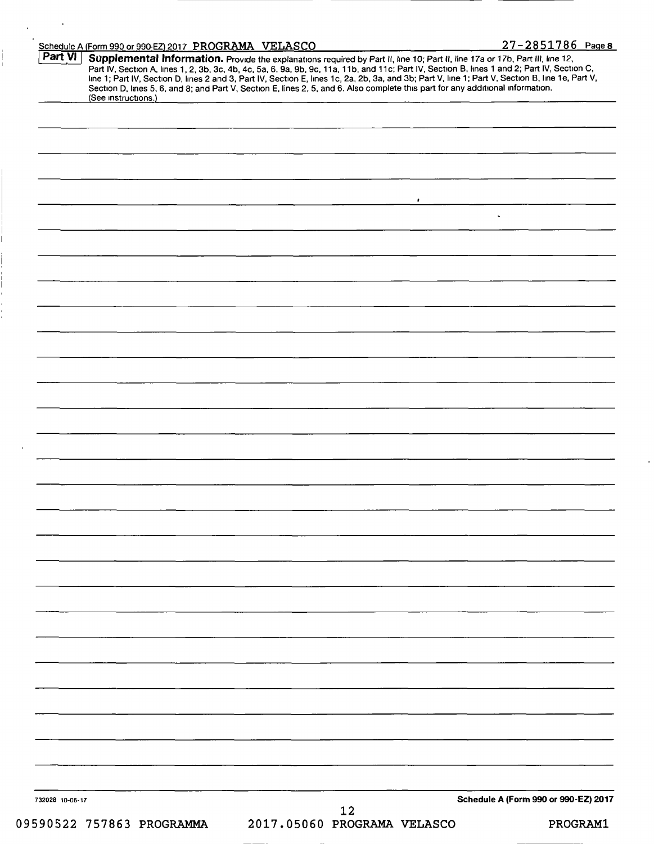|                 |  |  | $\bullet$ |  |                                      |
|-----------------|--|--|-----------|--|--------------------------------------|
|                 |  |  |           |  |                                      |
|                 |  |  |           |  |                                      |
|                 |  |  |           |  |                                      |
|                 |  |  |           |  |                                      |
|                 |  |  |           |  |                                      |
|                 |  |  |           |  |                                      |
|                 |  |  |           |  |                                      |
|                 |  |  |           |  |                                      |
|                 |  |  |           |  |                                      |
|                 |  |  |           |  |                                      |
|                 |  |  |           |  |                                      |
|                 |  |  |           |  |                                      |
|                 |  |  |           |  |                                      |
|                 |  |  |           |  |                                      |
|                 |  |  |           |  |                                      |
|                 |  |  |           |  |                                      |
|                 |  |  |           |  |                                      |
|                 |  |  |           |  |                                      |
|                 |  |  |           |  |                                      |
|                 |  |  |           |  |                                      |
|                 |  |  |           |  |                                      |
|                 |  |  |           |  |                                      |
|                 |  |  |           |  |                                      |
|                 |  |  |           |  |                                      |
|                 |  |  |           |  |                                      |
|                 |  |  |           |  |                                      |
|                 |  |  |           |  |                                      |
|                 |  |  |           |  |                                      |
|                 |  |  |           |  |                                      |
|                 |  |  |           |  |                                      |
|                 |  |  |           |  |                                      |
|                 |  |  |           |  |                                      |
|                 |  |  |           |  |                                      |
|                 |  |  |           |  |                                      |
|                 |  |  |           |  |                                      |
|                 |  |  |           |  |                                      |
|                 |  |  |           |  |                                      |
|                 |  |  |           |  |                                      |
|                 |  |  |           |  |                                      |
|                 |  |  |           |  |                                      |
|                 |  |  |           |  |                                      |
| 732028 10-06-17 |  |  |           |  | Schedule A (Form 990 or 990-EZ) 2017 |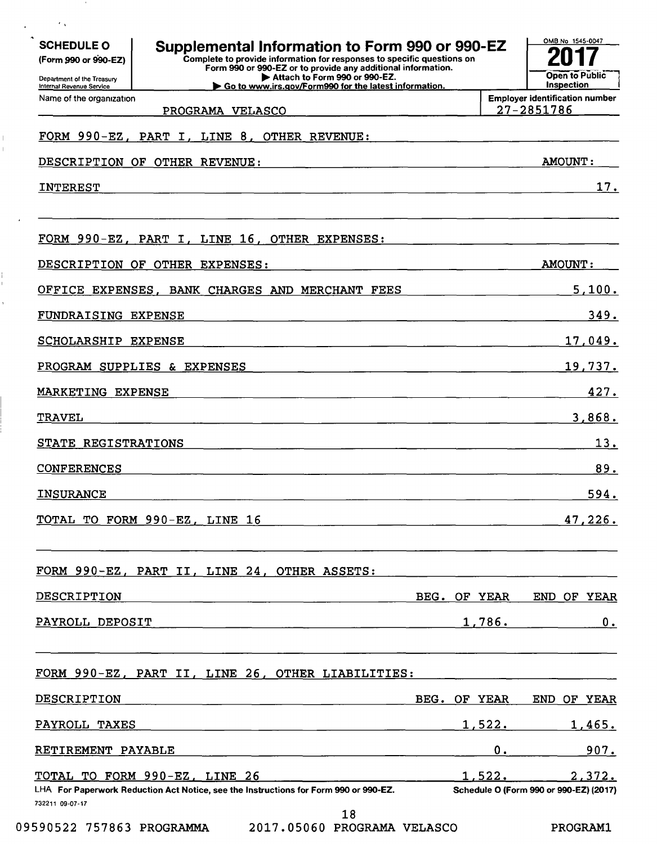| <b>SCHEDULE O</b><br>(Form 990 or 990-EZ)<br>Department of the Treasury<br>Internal Revenue Service | Supplemental Information to Form 990 or 990-EZ<br>Complete to provide information for responses to specific questions on<br>Form 990 or 990-EZ or to provide any additional information.<br>Attach to Form 990 or 990-EZ.<br>Go to www.irs.gov/Form990 for the latest information. |              |        | OMB No 1545-0047<br>Inspection                      | Open to Public |
|-----------------------------------------------------------------------------------------------------|------------------------------------------------------------------------------------------------------------------------------------------------------------------------------------------------------------------------------------------------------------------------------------|--------------|--------|-----------------------------------------------------|----------------|
| Name of the organization                                                                            | PROGRAMA VELASCO                                                                                                                                                                                                                                                                   |              |        | <b>Employer identification number</b><br>27-2851786 |                |
|                                                                                                     | FORM 990-EZ, PART I, LINE 8, OTHER REVENUE:                                                                                                                                                                                                                                        |              |        |                                                     |                |
|                                                                                                     | DESCRIPTION OF OTHER REVENUE:                                                                                                                                                                                                                                                      |              |        | <b>AMOUNT:</b>                                      |                |
| <b>INTEREST</b>                                                                                     |                                                                                                                                                                                                                                                                                    |              |        |                                                     | 17.            |
|                                                                                                     |                                                                                                                                                                                                                                                                                    |              |        |                                                     |                |
|                                                                                                     | FORM 990-EZ, PART I, LINE 16,<br>OTHER EXPENSES:                                                                                                                                                                                                                                   |              |        |                                                     |                |
|                                                                                                     | DESCRIPTION OF OTHER EXPENSES:                                                                                                                                                                                                                                                     |              |        | <b>AMOUNT:</b>                                      |                |
| OFFICE EXPENSES,                                                                                    | BANK CHARGES AND MERCHANT FEES                                                                                                                                                                                                                                                     |              |        |                                                     | 5,100.         |
| FUNDRAISING EXPENSE                                                                                 |                                                                                                                                                                                                                                                                                    |              |        |                                                     | 349.           |
| <b>SCHOLARSHIP EXPENSE</b>                                                                          |                                                                                                                                                                                                                                                                                    |              |        |                                                     | 17,049.        |
|                                                                                                     | PROGRAM SUPPLIES & EXPENSES                                                                                                                                                                                                                                                        |              |        |                                                     | 19,737.        |
| MARKETING EXPENSE                                                                                   |                                                                                                                                                                                                                                                                                    |              |        |                                                     | 427.           |
| <b>TRAVEL</b>                                                                                       |                                                                                                                                                                                                                                                                                    |              |        |                                                     | 3,868.         |
| STATE REGISTRATIONS                                                                                 |                                                                                                                                                                                                                                                                                    |              |        |                                                     | 13.            |
| <b>CONFERENCES</b>                                                                                  |                                                                                                                                                                                                                                                                                    |              |        |                                                     | 89.            |
| <b>INSURANCE</b>                                                                                    |                                                                                                                                                                                                                                                                                    |              |        |                                                     | 594.           |
|                                                                                                     | TOTAL TO FORM 990-EZ, LINE 16                                                                                                                                                                                                                                                      |              |        |                                                     | 47,226.        |
|                                                                                                     | FORM 990-EZ, PART II, LINE 24, OTHER ASSETS:                                                                                                                                                                                                                                       |              |        |                                                     |                |
| DESCRIPTION                                                                                         |                                                                                                                                                                                                                                                                                    | BEG. OF YEAR |        | END OF YEAR                                         |                |
| PAYROLL DEPOSIT                                                                                     |                                                                                                                                                                                                                                                                                    |              | 1,786. |                                                     | 0.             |
|                                                                                                     | FORM 990-EZ, PART II, LINE 26, OTHER LIABILITIES:                                                                                                                                                                                                                                  |              |        |                                                     |                |
| DESCRIPTION                                                                                         |                                                                                                                                                                                                                                                                                    | BEG. OF YEAR |        | END OF YEAR                                         |                |
| PAYROLL TAXES                                                                                       |                                                                                                                                                                                                                                                                                    |              | 1,522. |                                                     | 1,465.         |
| RETIREMENT PAYABLE                                                                                  |                                                                                                                                                                                                                                                                                    |              |        | $0.$ $\blacksquare$                                 | 907.           |
|                                                                                                     | TOTAL TO FORM 990-EZ, LINE 26                                                                                                                                                                                                                                                      |              |        | 1,522.                                              | 2,372.         |
| 732211 09-07-17                                                                                     | LHA For Paperwork Reduction Act Notice, see the Instructions for Form 990 or 990-EZ.<br>18                                                                                                                                                                                         |              |        | Schedule O (Form 990 or 990-EZ) (2017)              |                |

 $\sim 10^{10}$ 

 $\varphi_{\rm{max}}=0.8$ 

 $\begin{array}{c} 1 \\ 1 \end{array}$ 

 $\sim$ 

 $\frac{1}{1}$ 

 $\hat{\mathbf{r}}$ 

09590522 757863 PROGRAMMA 2017.05060 PROGRAMA VELASCO PROGRAM1